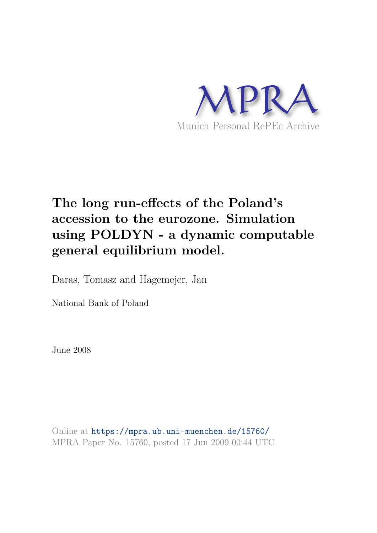

# **The long run-effects of the Poland's accession to the eurozone. Simulation using POLDYN - a dynamic computable general equilibrium model.**

Daras, Tomasz and Hagemejer, Jan

National Bank of Poland

June 2008

Online at https://mpra.ub.uni-muenchen.de/15760/ MPRA Paper No. 15760, posted 17 Jun 2009 00:44 UTC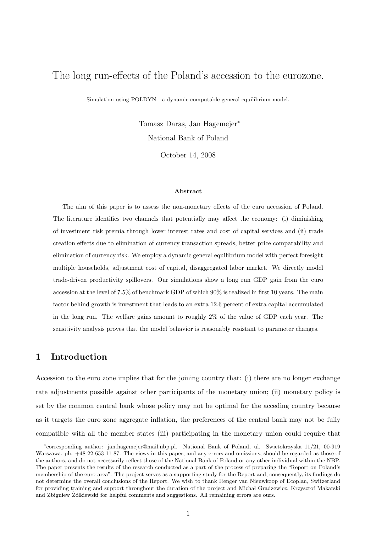# The long run-effects of the Poland's accession to the eurozone.

Simulation using POLDYN - a dynamic computable general equilibrium model.

Tomasz Daras, Jan Hagemejer<sup>∗</sup> National Bank of Poland

October 14, 2008

#### Abstract

The aim of this paper is to assess the non-monetary effects of the euro accession of Poland. The literature identifies two channels that potentially may affect the economy: (i) diminishing of investment risk premia through lower interest rates and cost of capital services and (ii) trade creation effects due to elimination of currency transaction spreads, better price comparability and elimination of currency risk. We employ a dynamic general equilibrium model with perfect foresight multiple households, adjustment cost of capital, disaggregated labor market. We directly model trade-driven productivity spillovers. Our simulations show a long run GDP gain from the euro accession at the level of 7.5% of benchmark GDP of which 90% is realized in first 10 years. The main factor behind growth is investment that leads to an extra 12.6 percent of extra capital accumulated in the long run. The welfare gains amount to roughly 2% of the value of GDP each year. The sensitivity analysis proves that the model behavior is reasonably resistant to parameter changes.

# 1 Introduction

Accession to the euro zone implies that for the joining country that: (i) there are no longer exchange rate adjustments possible against other participants of the monetary union; (ii) monetary policy is set by the common central bank whose policy may not be optimal for the acceding country because as it targets the euro zone aggregate inflation, the preferences of the central bank may not be fully compatible with all the member states (iii) participating in the monetary union could require that

<sup>∗</sup> corresponding author: jan.hagemejer@mail.nbp.pl. National Bank of Poland, ul. Swietokrzyska 11/21, 00-919 Warszawa, ph. +48-22-653-11-87. The views in this paper, and any errors and omissions, should be regarded as those of the authors, and do not necessarily reflect those of the National Bank of Poland or any other individual within the NBP. The paper presents the results of the research conducted as a part of the process of preparing the "Report on Poland's membership of the euro-area". The project serves as a supporting study for the Report and, consequently, its findings do not determine the overall conclusions of the Report. We wish to thank Renger van Nieuwkoop of Ecoplan, Switzerland for providing training and support throughout the duration of the project and Micha l Gradzewicz, Krzysztof Makarski and Zbigniew Zółkiewski for helpful comments and suggestions. All remaining errors are ours.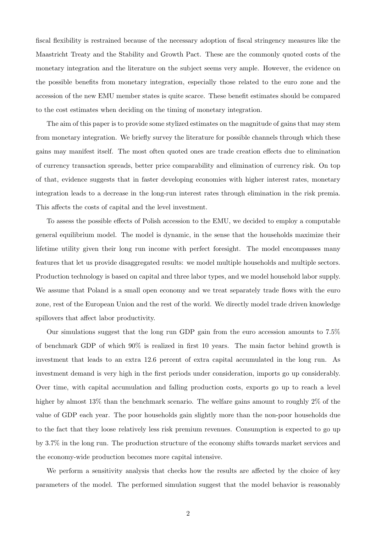fiscal flexibility is restrained because of the necessary adoption of fiscal stringency measures like the Maastricht Treaty and the Stability and Growth Pact. These are the commonly quoted costs of the monetary integration and the literature on the subject seems very ample. However, the evidence on the possible benefits from monetary integration, especially those related to the euro zone and the accession of the new EMU member states is quite scarce. These benefit estimates should be compared to the cost estimates when deciding on the timing of monetary integration.

The aim of this paper is to provide some stylized estimates on the magnitude of gains that may stem from monetary integration. We briefly survey the literature for possible channels through which these gains may manifest itself. The most often quoted ones are trade creation effects due to elimination of currency transaction spreads, better price comparability and elimination of currency risk. On top of that, evidence suggests that in faster developing economies with higher interest rates, monetary integration leads to a decrease in the long-run interest rates through elimination in the risk premia. This affects the costs of capital and the level investment.

To assess the possible effects of Polish accession to the EMU, we decided to employ a computable general equilibrium model. The model is dynamic, in the sense that the households maximize their lifetime utility given their long run income with perfect foresight. The model encompasses many features that let us provide disaggregated results: we model multiple households and multiple sectors. Production technology is based on capital and three labor types, and we model household labor supply. We assume that Poland is a small open economy and we treat separately trade flows with the euro zone, rest of the European Union and the rest of the world. We directly model trade driven knowledge spillovers that affect labor productivity.

Our simulations suggest that the long run GDP gain from the euro accession amounts to 7.5% of benchmark GDP of which 90% is realized in first 10 years. The main factor behind growth is investment that leads to an extra 12.6 percent of extra capital accumulated in the long run. As investment demand is very high in the first periods under consideration, imports go up considerably. Over time, with capital accumulation and falling production costs, exports go up to reach a level higher by almost 13% than the benchmark scenario. The welfare gains amount to roughly 2% of the value of GDP each year. The poor households gain slightly more than the non-poor households due to the fact that they loose relatively less risk premium revenues. Consumption is expected to go up by 3.7% in the long run. The production structure of the economy shifts towards market services and the economy-wide production becomes more capital intensive.

We perform a sensitivity analysis that checks how the results are affected by the choice of key parameters of the model. The performed simulation suggest that the model behavior is reasonably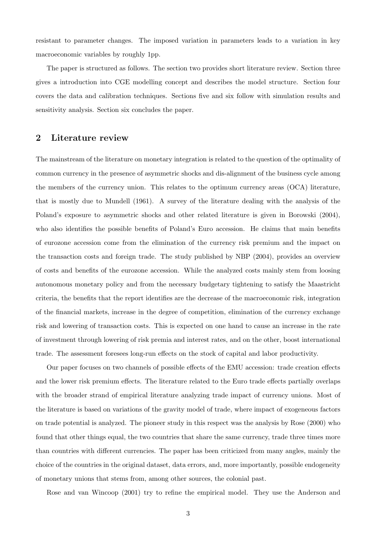resistant to parameter changes. The imposed variation in parameters leads to a variation in key macroeconomic variables by roughly 1pp.

The paper is structured as follows. The section two provides short literature review. Section three gives a introduction into CGE modelling concept and describes the model structure. Section four covers the data and calibration techniques. Sections five and six follow with simulation results and sensitivity analysis. Section six concludes the paper.

# 2 Literature review

The mainstream of the literature on monetary integration is related to the question of the optimality of common currency in the presence of asymmetric shocks and dis-alignment of the business cycle among the members of the currency union. This relates to the optimum currency areas (OCA) literature, that is mostly due to Mundell (1961). A survey of the literature dealing with the analysis of the Poland's exposure to asymmetric shocks and other related literature is given in Borowski (2004), who also identifies the possible benefits of Poland's Euro accession. He claims that main benefits of eurozone accession come from the elimination of the currency risk premium and the impact on the transaction costs and foreign trade. The study published by NBP (2004), provides an overview of costs and benefits of the eurozone accession. While the analyzed costs mainly stem from loosing autonomous monetary policy and from the necessary budgetary tightening to satisfy the Maastricht criteria, the benefits that the report identifies are the decrease of the macroeconomic risk, integration of the financial markets, increase in the degree of competition, elimination of the currency exchange risk and lowering of transaction costs. This is expected on one hand to cause an increase in the rate of investment through lowering of risk premia and interest rates, and on the other, boost international trade. The assessment foresees long-run effects on the stock of capital and labor productivity.

Our paper focuses on two channels of possible effects of the EMU accession: trade creation effects and the lower risk premium effects. The literature related to the Euro trade effects partially overlaps with the broader strand of empirical literature analyzing trade impact of currency unions. Most of the literature is based on variations of the gravity model of trade, where impact of exogeneous factors on trade potential is analyzed. The pioneer study in this respect was the analysis by Rose (2000) who found that other things equal, the two countries that share the same currency, trade three times more than countries with different currencies. The paper has been criticized from many angles, mainly the choice of the countries in the original dataset, data errors, and, more importantly, possible endogeneity of monetary unions that stems from, among other sources, the colonial past.

Rose and van Wincoop (2001) try to refine the empirical model. They use the Anderson and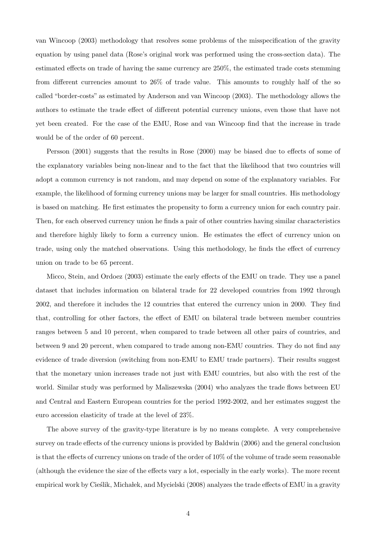van Wincoop (2003) methodology that resolves some problems of the misspecification of the gravity equation by using panel data (Rose's original work was performed using the cross-section data). The estimated effects on trade of having the same currency are 250%, the estimated trade costs stemming from different currencies amount to 26% of trade value. This amounts to roughly half of the so called "border-costs" as estimated by Anderson and van Wincoop (2003). The methodology allows the authors to estimate the trade effect of different potential currency unions, even those that have not yet been created. For the case of the EMU, Rose and van Wincoop find that the increase in trade would be of the order of 60 percent.

Persson (2001) suggests that the results in Rose (2000) may be biased due to effects of some of the explanatory variables being non-linear and to the fact that the likelihood that two countries will adopt a common currency is not random, and may depend on some of the explanatory variables. For example, the likelihood of forming currency unions may be larger for small countries. His methodology is based on matching. He first estimates the propensity to form a currency union for each country pair. Then, for each observed currency union he finds a pair of other countries having similar characteristics and therefore highly likely to form a currency union. He estimates the effect of currency union on trade, using only the matched observations. Using this methodology, he finds the effect of currency union on trade to be 65 percent.

Micco, Stein, and Ordoez (2003) estimate the early effects of the EMU on trade. They use a panel dataset that includes information on bilateral trade for 22 developed countries from 1992 through 2002, and therefore it includes the 12 countries that entered the currency union in 2000. They find that, controlling for other factors, the effect of EMU on bilateral trade between member countries ranges between 5 and 10 percent, when compared to trade between all other pairs of countries, and between 9 and 20 percent, when compared to trade among non-EMU countries. They do not find any evidence of trade diversion (switching from non-EMU to EMU trade partners). Their results suggest that the monetary union increases trade not just with EMU countries, but also with the rest of the world. Similar study was performed by Maliszewska (2004) who analyzes the trade flows between EU and Central and Eastern European countries for the period 1992-2002, and her estimates suggest the euro accession elasticity of trade at the level of 23%.

The above survey of the gravity-type literature is by no means complete. A very comprehensive survey on trade effects of the currency unions is provided by Baldwin (2006) and the general conclusion is that the effects of currency unions on trade of the order of 10% of the volume of trade seem reasonable (although the evidence the size of the effects vary a lot, especially in the early works). The more recent empirical work by Cieślik, Michałek, and Mycielski (2008) analyzes the trade effects of EMU in a gravity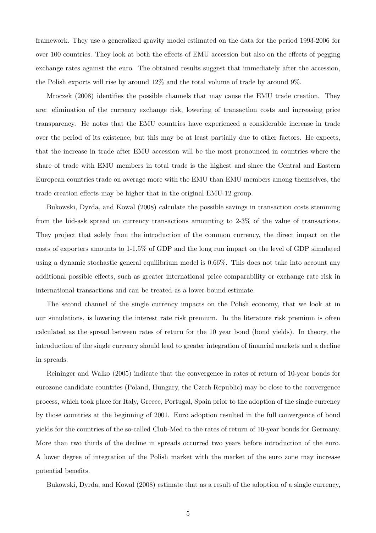framework. They use a generalized gravity model estimated on the data for the period 1993-2006 for over 100 countries. They look at both the effects of EMU accession but also on the effects of pegging exchange rates against the euro. The obtained results suggest that immediately after the accession, the Polish exports will rise by around 12% and the total volume of trade by around 9%.

Mroczek (2008) identifies the possible channels that may cause the EMU trade creation. They are: elimination of the currency exchange risk, lowering of transaction costs and increasing price transparency. He notes that the EMU countries have experienced a considerable increase in trade over the period of its existence, but this may be at least partially due to other factors. He expects, that the increase in trade after EMU accession will be the most pronounced in countries where the share of trade with EMU members in total trade is the highest and since the Central and Eastern European countries trade on average more with the EMU than EMU members among themselves, the trade creation effects may be higher that in the original EMU-12 group.

Bukowski, Dyrda, and Kowal (2008) calculate the possible savings in transaction costs stemming from the bid-ask spread on currency transactions amounting to 2-3% of the value of transactions. They project that solely from the introduction of the common currency, the direct impact on the costs of exporters amounts to 1-1.5% of GDP and the long run impact on the level of GDP simulated using a dynamic stochastic general equilibrium model is 0.66%. This does not take into account any additional possible effects, such as greater international price comparability or exchange rate risk in international transactions and can be treated as a lower-bound estimate.

The second channel of the single currency impacts on the Polish economy, that we look at in our simulations, is lowering the interest rate risk premium. In the literature risk premium is often calculated as the spread between rates of return for the 10 year bond (bond yields). In theory, the introduction of the single currency should lead to greater integration of financial markets and a decline in spreads.

Reininger and Walko (2005) indicate that the convergence in rates of return of 10-year bonds for eurozone candidate countries (Poland, Hungary, the Czech Republic) may be close to the convergence process, which took place for Italy, Greece, Portugal, Spain prior to the adoption of the single currency by those countries at the beginning of 2001. Euro adoption resulted in the full convergence of bond yields for the countries of the so-called Club-Med to the rates of return of 10-year bonds for Germany. More than two thirds of the decline in spreads occurred two years before introduction of the euro. A lower degree of integration of the Polish market with the market of the euro zone may increase potential benefits.

Bukowski, Dyrda, and Kowal (2008) estimate that as a result of the adoption of a single currency,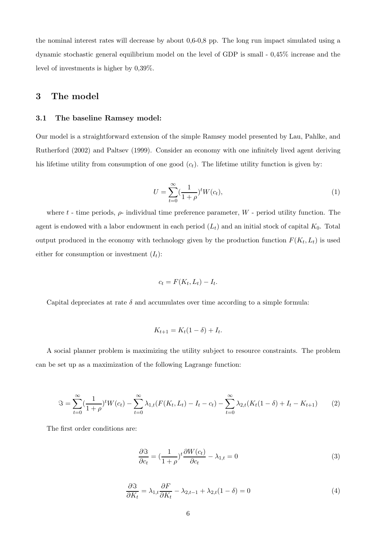the nominal interest rates will decrease by about 0,6-0,8 pp. The long run impact simulated using a dynamic stochastic general equilibrium model on the level of GDP is small - 0,45% increase and the level of investments is higher by 0,39%.

## 3 The model

#### 3.1 The baseline Ramsey model:

Our model is a straightforward extension of the simple Ramsey model presented by Lau, Pahlke, and Rutherford (2002) and Paltsev (1999). Consider an economy with one infinitely lived agent deriving his lifetime utility from consumption of one good  $(c_t)$ . The lifetime utility function is given by:

$$
U = \sum_{t=0}^{\infty} \left(\frac{1}{1+\rho}\right)^t W(c_t),\tag{1}
$$

where t - time periods,  $\rho$ - individual time preference parameter, W - period utility function. The agent is endowed with a labor endowment in each period  $(L_t)$  and an initial stock of capital  $K_0$ . Total output produced in the economy with technology given by the production function  $F(K_t, L_t)$  is used either for consumption or investment  $(I_t)$ :

$$
c_t = F(K_t, L_t) - I_t.
$$

Capital depreciates at rate  $\delta$  and accumulates over time according to a simple formula:

$$
K_{t+1} = K_t(1 - \delta) + I_t.
$$

A social planner problem is maximizing the utility subject to resource constraints. The problem can be set up as a maximization of the following Lagrange function:

$$
\Im = \sum_{t=0}^{\infty} \left(\frac{1}{1+\rho}\right)^t W(c_t) - \sum_{t=0}^{\infty} \lambda_{1,t} (F(K_t, L_t) - I_t - c_t) - \sum_{t=0}^{\infty} \lambda_{2,t} (K_t (1-\delta) + I_t - K_{t+1}) \tag{2}
$$

The first order conditions are:

$$
\frac{\partial \mathfrak{S}}{\partial c_t} = \left(\frac{1}{1+\rho}\right)^t \frac{\partial W(c_t)}{\partial c_t} - \lambda_{1,t} = 0
$$
\n(3)

$$
\frac{\partial \mathfrak{F}}{\partial K_t} = \lambda_{1,t} \frac{\partial F}{\partial K_t} - \lambda_{2,t-1} + \lambda_{2,t} (1 - \delta) = 0 \tag{4}
$$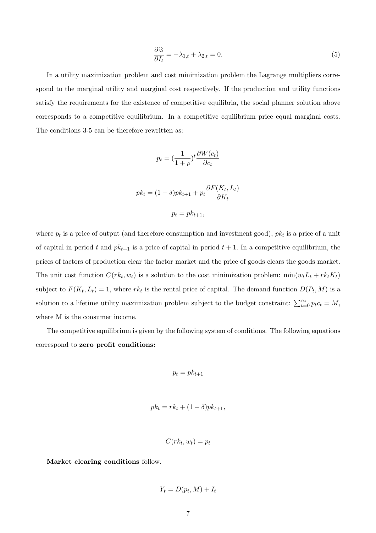$$
\frac{\partial \Im}{\partial I_t} = -\lambda_{1,t} + \lambda_{2,t} = 0. \tag{5}
$$

In a utility maximization problem and cost minimization problem the Lagrange multipliers correspond to the marginal utility and marginal cost respectively. If the production and utility functions satisfy the requirements for the existence of competitive equilibria, the social planner solution above corresponds to a competitive equilibrium. In a competitive equilibrium price equal marginal costs. The conditions 3-5 can be therefore rewritten as:

$$
p_t = \left(\frac{1}{1+\rho}\right)^t \frac{\partial W(c_t)}{\partial c_t}
$$

$$
pk_t = (1 - \delta)pk_{t+1} + p_t \frac{\partial F(K_t, L_t)}{\partial K_t}
$$

$$
p_t = pk_{t+1},
$$

where  $p_t$  is a price of output (and therefore consumption and investment good),  $pk_t$  is a price of a unit of capital in period t and  $pk_{t+1}$  is a price of capital in period  $t + 1$ . In a competitive equilibrium, the prices of factors of production clear the factor market and the price of goods clears the goods market. The unit cost function  $C(r k_t, w_t)$  is a solution to the cost minimization problem:  $\min(w_t L_t + r k_t K_t)$ subject to  $F(K_t, L_t) = 1$ , where  $rk_t$  is the rental price of capital. The demand function  $D(P_t, M)$  is a solution to a lifetime utility maximization problem subject to the budget constraint:  $\sum_{t=0}^{\infty} p_t c_t = M$ , where M is the consumer income.

The competitive equilibrium is given by the following system of conditions. The following equations correspond to zero profit conditions:

$$
p_t = p k_{t+1}
$$

$$
pk_t = rk_t + (1 - \delta)pk_{t+1},
$$

$$
C(rk_t, w_t) = p_t
$$

Market clearing conditions follow.

$$
Y_t = D(p_t, M) + I_t
$$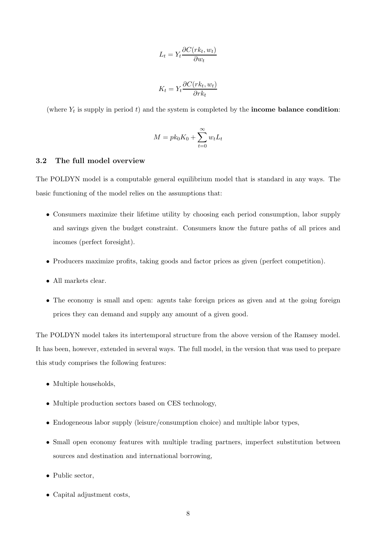$$
L_t = Y_t \frac{\partial C(r k_t, w_t)}{\partial w_t}
$$

$$
K_t = Y_t \frac{\partial C(rk_t, w_t)}{\partial rk_t}
$$

(where  $Y_t$  is supply in period t) and the system is completed by the **income balance condition**:

$$
M = pk_0 K_0 + \sum_{t=0}^{\infty} w_t L_t
$$

#### 3.2 The full model overview

The POLDYN model is a computable general equilibrium model that is standard in any ways. The basic functioning of the model relies on the assumptions that:

- Consumers maximize their lifetime utility by choosing each period consumption, labor supply and savings given the budget constraint. Consumers know the future paths of all prices and incomes (perfect foresight).
- Producers maximize profits, taking goods and factor prices as given (perfect competition).
- All markets clear.
- The economy is small and open: agents take foreign prices as given and at the going foreign prices they can demand and supply any amount of a given good.

The POLDYN model takes its intertemporal structure from the above version of the Ramsey model. It has been, however, extended in several ways. The full model, in the version that was used to prepare this study comprises the following features:

- Multiple households,
- Multiple production sectors based on CES technology,
- Endogeneous labor supply (leisure/consumption choice) and multiple labor types,
- Small open economy features with multiple trading partners, imperfect substitution between sources and destination and international borrowing,
- Public sector.
- Capital adjustment costs,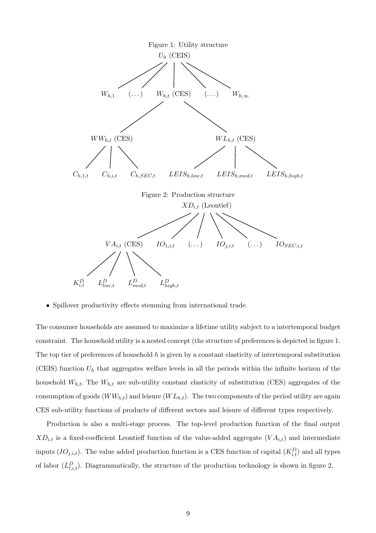

• Spillover productivity effects stemming from international trade.

The consumer households are assumed to maximize a lifetime utility subject to a intertemporal budget constraint. The household utility is a nested concept (the structure of preferences is depicted in figure 1. The top tier of preferences of household  $h$  is given by a constant elasticity of intertemporal substitution (CEIS) function  $U_h$  that aggregates welfare levels in all the periods within the infinite horizon of the household  $W_{h,t}$ . The  $W_{h,t}$  are sub-utility constant elasticity of substitution (CES) aggregates of the consumption of goods  $(WW_{h,t})$  and leisure  $(W L_{h,t})$ . The two components of the period utility are again CES sub-utility functions of products of different sectors and leisure of different types respectively.

Production is also a multi-stage process. The top-level production function of the final output  $XD_{i,t}$  is a fixed-coefficient Leontieff function of the value-added aggregate  $(VA_{i,t})$  and intermediate inputs  $(IO_{j,i,t})$ . The value added production function is a CES function of capital  $(K_{i,t}^D)$  and all types of labor  $(L_{l,i,t}^D)$ . Diagrammatically, the structure of the production technology is shown in figure 2.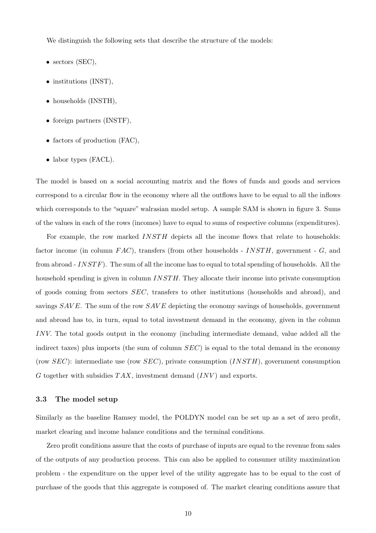We distinguish the following sets that describe the structure of the models:

- sectors (SEC),
- institutions (INST),
- households (INSTH),
- foreign partners (INSTF),
- factors of production (FAC),
- labor types (FACL).

The model is based on a social accounting matrix and the flows of funds and goods and services correspond to a circular flow in the economy where all the outflows have to be equal to all the inflows which corresponds to the "square" walrasian model setup. A sample SAM is shown in figure 3. Sums of the values in each of the rows (incomes) have to equal to sums of respective columns (expenditures).

For example, the row marked  $INSTH$  depicts all the income flows that relate to households: factor income (in column  $FAC$ ), transfers (from other households - INSTH, government - G, and from abroad -  $INSTF$ ). The sum of all the income has to equal to total spending of households. All the household spending is given in column *INSTH*. They allocate their income into private consumption of goods coming from sectors SEC, transfers to other institutions (households and abroad), and savings  $SAVE$ . The sum of the row  $SAVE$  depicting the economy savings of households, government and abroad has to, in turn, equal to total investment demand in the economy, given in the column INV. The total goods output in the economy (including intermediate demand, value added all the indirect taxes) plus imports (the sum of column  $SEC)$  is equal to the total demand in the economy (row  $SEC)$ : intermediate use (row  $SEC)$ , private consumption  $(INSTH)$ , government consumption G together with subsidies  $TAX$ , investment demand  $(INV)$  and exports.

#### 3.3 The model setup

Similarly as the baseline Ramsey model, the POLDYN model can be set up as a set of zero profit, market clearing and income balance conditions and the terminal conditions.

Zero profit conditions assure that the costs of purchase of inputs are equal to the revenue from sales of the outputs of any production process. This can also be applied to consumer utility maximization problem - the expenditure on the upper level of the utility aggregate has to be equal to the cost of purchase of the goods that this aggregate is composed of. The market clearing conditions assure that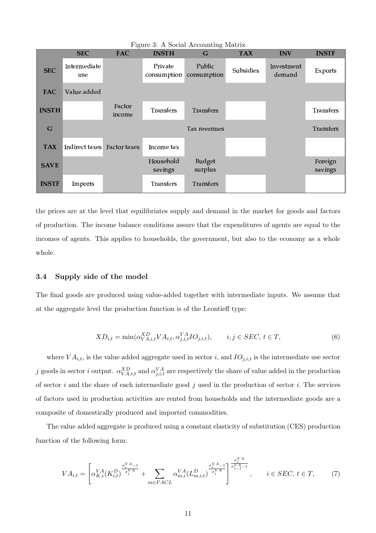|              |                             |                  | Figure 3: A Social Accounting Matrix |                          |            |                      |                    |
|--------------|-----------------------------|------------------|--------------------------------------|--------------------------|------------|----------------------|--------------------|
|              | <b>SEC</b>                  | <b>FAC</b>       | <b>INSTH</b>                         | G                        | <b>TAX</b> | <b>INV</b>           | <b>INSTF</b>       |
| <b>SEC</b>   | Intermediate<br>use         |                  | Private<br>consumption               | Public<br>consumption    | Subsidies  | Investment<br>demand | Exports            |
| <b>FAC</b>   | Value added                 |                  |                                      |                          |            |                      |                    |
| <b>INSTH</b> |                             | Factor<br>income | <b>Transfers</b>                     | <b>Transfers</b>         |            |                      | <b>Transfers</b>   |
| G            |                             |                  |                                      | Tax revenues             |            |                      | <b>Transfers</b>   |
| <b>TAX</b>   | Indirect taxes Factor taxes |                  | Income tax                           |                          |            |                      |                    |
| <b>SAVE</b>  |                             |                  | Household<br>savings                 | <b>Budget</b><br>surplus |            |                      | Foreign<br>savings |
| <b>INSTF</b> | Imports                     |                  | <b>Transfers</b>                     | <b>Transfers</b>         |            |                      |                    |

the prices are at the level that equilibriates supply and demand in the market for goods and factors of production. The income balance conditions assure that the expenditures of agents are equal to the incomes of agents. This applies to households, the government, but also to the economy as a whole whole.

#### 3.4 Supply side of the model

The final goods are produced using value-added together with intermediate inputs. We assume that at the aggregate level the production function is of the Leontieff type:

$$
XD_{i,t} = \min(\alpha_{VA,i,t}^{XD} VA_{i,t}, \alpha_{j,i,t}^{VA} IO_{j,i,t}), \qquad i, j \in SEC, t \in T,
$$
\n
$$
(6)
$$

where  $VA_{i,t}$ , is the value added aggregate used in sector i, and  $IO_{j,i,t}$  is the intermediate use sector j goods in sector i output.  $\alpha_{VA,i,t}^{XD}$  and  $\alpha_{j,i,t}^{VA}$  are respectively the share of value added in the production of sector i and the share of each intermediate good j used in the production of sector i. The services of factors used in production activities are rented from households and the intermediate goods are a composite of domestically produced and imported commodities.

The value added aggregate is produced using a constant elasticity of substitution (CES) production function of the following form:

$$
VA_{i,t} = \left[ \alpha_{K,i}^{VA}(K_{i,t}^D)^{\frac{\sigma_i^{VA}-1}{\sigma_i^{VA}}} + \sum_{m \in FACL} \alpha_{m,i}^{VA}(L_{m,i,t}^D)^{\frac{\sigma_i^{VA}-1}{\sigma_i^{VA}}}_{\text{in}} \right]^{\frac{\sigma_i^{VA}}{\sigma_{i-1}^{VA}-1}}_{\text{in}} , \qquad i \in SEC, t \in T,
$$
 (7)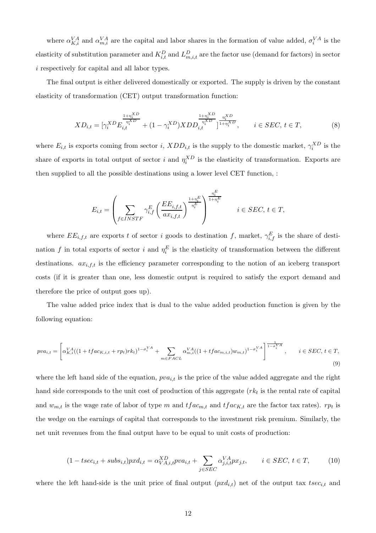where  $\alpha_{K,i}^{VA}$  and  $\alpha_{m,i}^{VA}$  are the capital and labor shares in the formation of value added,  $\sigma_i^{VA}$  is the elasticity of substitution parameter and  $K_{i,t}^D$  and  $L_{m,i,t}^D$  are the factor use (demand for factors) in sector i respectively for capital and all labor types.

The final output is either delivered domestically or exported. The supply is driven by the constant elasticity of transformation (CET) output transformation function:

$$
XD_{i,t} = [\gamma_i^{XD} E_{i,t}^{\frac{1+\eta_i^{XD}}{\eta_i^{XD}}} + (1 - \gamma_i^{XD}) XDD_{i,t}^{\frac{1+\eta_i^{XD}}{\eta_i^{XD}}}]^{\frac{\eta_i^{XD}}{1+\eta_i^{XD}}}, \qquad i \in SEC, t \in T,
$$
\n(8)

where  $E_{i,t}$  is exports coming from sector i,  $XDD_{i,t}$  is the supply to the domestic market,  $\gamma_i^{XD}$  is the share of exports in total output of sector i and  $\eta_i^{XD}$  is the elasticity of transformation. Exports are then supplied to all the possible destinations using a lower level CET function, :

$$
E_{i,t} = \left(\sum_{f \in INSTF} \gamma_{i,f}^E \left(\frac{EE_{i,f,t}}{ax_{i,f,t}}\right)^{\frac{1+\eta_i^E}{\eta_i^E}}\right)^{\frac{\eta_i^E}{1+\eta_i^E}} \quad i \in SEC, t \in T,
$$

where  $EE_{i,f,t}$  are exports t of sector i goods to destination f, market,  $\gamma_{i,f}^E$  is the share of destination f in total exports of sector i and  $\eta_i^E$  is the elasticity of transformation between the different destinations.  $ax_{i,f,t}$  is the efficiency parameter corresponding to the notion of an iceberg transport costs (if it is greater than one, less domestic output is required to satisfy the export demand and therefore the price of output goes up).

The value added price index that is dual to the value added production function is given by the following equation:

$$
pva_{i,t} = \left[\alpha_{K,i}^{VA}((1 + tfac_{K,i,t} + rp_t)rk_t)^{1 - \sigma_i^{VA}} + \sum_{m \in FAC} \alpha_{m,i}^{VA}((1 + tfac_{m,i,t})w_{m,t})^{1 - \sigma_i^{VA}}\right]^{\frac{1}{1 - \sigma_i^{VA}}}, \qquad i \in SEC, t \in T,
$$
\n(9)

where the left hand side of the equation,  $pva_{i,t}$  is the price of the value added aggregate and the right hand side corresponds to the unit cost of production of this aggregate  $(rk_t)$  is the rental rate of capital and  $w_{m,t}$  is the wage rate of labor of type m and  $tfac_{m,t}$  and  $tfac_{K,t}$  are the factor tax rates).  $rp_t$  is the wedge on the earnings of capital that corresponds to the investment risk premium. Similarly, the net unit revenues from the final output have to be equal to unit costs of production:

$$
(1 - tsec_{i,t} + subs_{i,t})pxd_{i,t} = \alpha_{VA,i,t}^{XD}pva_{i,t} + \sum_{j \in SEC} \alpha_{j,i,t}^{VA}px_{j,t}, \qquad i \in SEC, t \in T,
$$
 (10)

where the left hand-side is the unit price of final output  $(pxd_{i,t})$  net of the output tax  $tsec_{i,t}$  and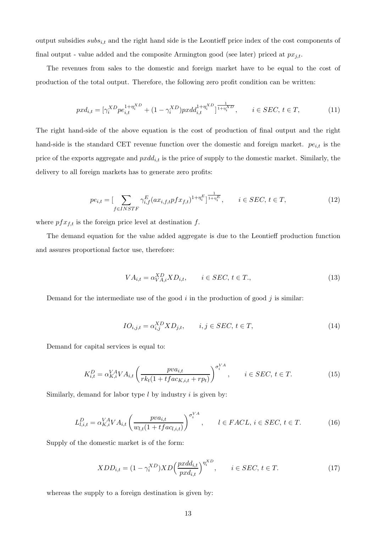output subsidies  $subs_{i,t}$  and the right hand side is the Leontieff price index of the cost components of final output - value added and the composite Armington good (see later) priced at  $px_{j,t}$ .

The revenues from sales to the domestic and foreign market have to be equal to the cost of production of the total output. Therefore, the following zero profit condition can be written:

$$
pxd_{i,t} = [\gamma_i^{XD}pe_{i,t}^{1+\eta_i^{XD}} + (1-\gamma_i^{XD})pxdd_{i,t}^{1+\eta_i^{XD}}]^{\frac{1}{1+\eta_i^{XD}}}, \qquad i \in SEC, t \in T,
$$
\n(11)

The right hand-side of the above equation is the cost of production of final output and the right hand-side is the standard CET revenue function over the domestic and foreign market.  $pe_{i,t}$  is the price of the exports aggregate and  $pxdd_{i,t}$  is the price of supply to the domestic market. Similarly, the delivery to all foreign markets has to generate zero profits:

$$
pe_{i,t} = \left[\sum_{f \in INSTF} \gamma_{i,f}^{E} (ax_{i,f,t} p f x_{f,t})^{1 + \eta_i^{E}}\right]^{\frac{1}{1 + \eta_i^{E}}}, \qquad i \in SEC, t \in T,
$$
\n(12)

where  $pfx_{f,t}$  is the foreign price level at destination f.

The demand equation for the value added aggregate is due to the Leontieff production function and assures proportional factor use, therefore:

$$
VA_{i,t} = \alpha_{VA,i}^{XD} X D_{i,t}, \qquad i \in SEC, t \in T., \tag{13}
$$

Demand for the intermediate use of the good  $i$  in the production of good  $j$  is similar:

$$
IO_{i,j,t} = \alpha_{i,j}^{XD} X D_{j,t}, \qquad i,j \in SEC, t \in T,
$$
\n
$$
(14)
$$

Demand for capital services is equal to:

$$
K_{i,t}^D = \alpha_{K,i}^{VA} VA_{i,t} \left( \frac{pva_{i,t}}{rk_t(1 + tfac_{K,i,t} + rp_t)} \right)^{\sigma_i^{VA}}, \qquad i \in SEC, t \in T.
$$
 (15)

Similarly, demand for labor type  $l$  by industry  $i$  is given by:

$$
L_{l,i,t}^D = \alpha_{K,i}^{VA} VA_{i,t} \left( \frac{p v a_{i,t}}{w_{l,t}(1 + tfac_{l,i,t})} \right)^{\sigma_i^{VA}}, \qquad l \in FAC, i \in SEC, t \in T.
$$
 (16)

Supply of the domestic market is of the form:

$$
XDD_{i,t} = (1 - \gamma_i^{XD}) XD\left(\frac{pxdd_{i,t}}{pxd_{i,t}}\right)^{\eta_i^{XD}}, \qquad i \in SEC, t \in T.
$$
\n
$$
(17)
$$

whereas the supply to a foreign destination is given by: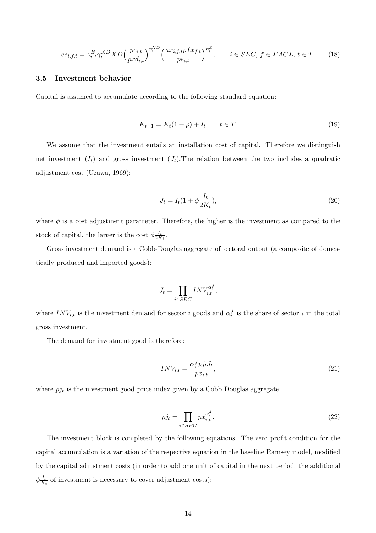$$
ee_{i,f,t} = \gamma_{i,f}^E \gamma_i^{XD} X D \left(\frac{pe_{i,t}}{pxd_{i,t}}\right)^{\eta_i^{XD}} \left(\frac{ax_{i,f,t}pf x_{f,t}}{pe_{i,t}}\right)^{\eta_i^E}, \qquad i \in SEC, f \in FACL, t \in T. \tag{18}
$$

#### 3.5 Investment behavior

Capital is assumed to accumulate according to the following standard equation:

$$
K_{t+1} = K_t(1 - \rho) + I_t \qquad t \in T. \tag{19}
$$

We assume that the investment entails an installation cost of capital. Therefore we distinguish net investment  $(I_t)$  and gross investment  $(J_t)$ . The relation between the two includes a quadratic adjustment cost (Uzawa, 1969):

$$
J_t = I_t(1 + \phi \frac{I_t}{2K_t}),
$$
\n(20)

where  $\phi$  is a cost adjustment parameter. Therefore, the higher is the investment as compared to the stock of capital, the larger is the cost  $\phi \frac{I_t}{2K}$  $\frac{I_t}{2K_t}$ .

Gross investment demand is a Cobb-Douglas aggregate of sectoral output (a composite of domestically produced and imported goods):

$$
J_t = \prod_{i \in SEC} INV_{i,t}^{\alpha_i^J},
$$

where  $INV_{i,t}$  is the investment demand for sector i goods and  $\alpha_i^J$  is the share of sector i in the total gross investment.

The demand for investment good is therefore:

$$
INV_{i,t} = \frac{\alpha_i^J p j_t J_t}{p x_{i,t}},\tag{21}
$$

where  $pi_t$  is the investment good price index given by a Cobb Douglas aggregate:

$$
p j_t = \prod_{i \in SEC} p x_{i,t}^{\alpha_i^J}.
$$
\n
$$
(22)
$$

The investment block is completed by the following equations. The zero profit condition for the capital accumulation is a variation of the respective equation in the baseline Ramsey model, modified by the capital adjustment costs (in order to add one unit of capital in the next period, the additional  $\phi \frac{I_t}{K}$  $\frac{I_t}{K_t}$  of investment is necessary to cover adjustment costs):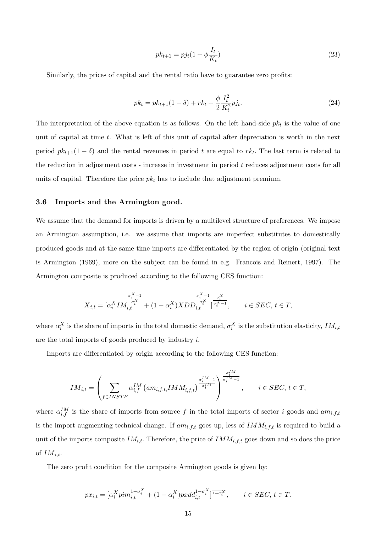$$
pk_{t+1} = pjt(1 + \phi \frac{I_t}{K_t})
$$
\n(23)

Similarly, the prices of capital and the rental ratio have to guarantee zero profits:

$$
pk_t = pk_{t+1}(1 - \delta) + rk_t + \frac{\phi}{2} \frac{I_t^2}{K_t^2} p j_t.
$$
\n(24)

The interpretation of the above equation is as follows. On the left hand-side  $pk<sub>t</sub>$  is the value of one unit of capital at time  $t$ . What is left of this unit of capital after depreciation is worth in the next period  $pk_{t+1}(1 - \delta)$  and the rental revenues in period t are equal to  $rk_t$ . The last term is related to the reduction in adjustment costs - increase in investment in period t reduces adjustment costs for all units of capital. Therefore the price  $pk<sub>t</sub>$  has to include that adjustment premium.

#### 3.6 Imports and the Armington good.

We assume that the demand for imports is driven by a multilevel structure of preferences. We impose an Armington assumption, i.e. we assume that imports are imperfect substitutes to domestically produced goods and at the same time imports are differentiated by the region of origin (original text is Armington (1969), more on the subject can be found in e.g. Francois and Reinert, 1997). The Armington composite is produced according to the following CES function:

$$
X_{i,t} = [\alpha_i^X I M_{i,t}^{\frac{\sigma_i^X - 1}{\sigma_i^X}} + (1 - \alpha_i^X) XDD_{i,t}^{\frac{\sigma_i^X - 1}{\sigma_i^X}}]^{\frac{\sigma_i^X}{\sigma_i^X - 1}}, \qquad i \in SEC, t \in T,
$$

where  $\alpha_i^X$  is the share of imports in the total domestic demand,  $\sigma_i^X$  is the substitution elasticity,  $IM_{i,t}$ are the total imports of goods produced by industry i.

Imports are differentiated by origin according to the following CES function:

$$
IM_{i,t} = \left(\sum_{f \in INSTF} \alpha_{i,f}^{IM} \left( a m_{i,f,t, IMM_{i,f,t} } \right)^{\frac{\sigma_i^{IM}-1}{\sigma_i^{IM}-1}} \right)^{\frac{\sigma_i^{IM}-1}{\sigma_i^{IM}-1}}, \qquad i \in SEC, t \in T,
$$

where  $\alpha_{i,f}^{IM}$  is the share of imports from source f in the total imports of sector i goods and  $am_{i,f,t}$ is the import augmenting technical change. If  $am_{i,f,t}$  goes up, less of  $IMM_{i,f,t}$  is required to build a unit of the imports composite  $IM_{i,t}$ . Therefore, the price of  $IM_{i,f,t}$  goes down and so does the price of  $IM_{i,t}$ .

The zero profit condition for the composite Armington goods is given by:

$$
px_{i,t} = [\alpha_i^X \text{pim}_{i,t}^{1-\sigma_i^X} + (1-\alpha_i^X) \text{pxdd}_{i,t}^{1-\sigma_i^X}]^{\frac{1}{1-\sigma_i^X}}, \qquad i \in SEC, t \in T.
$$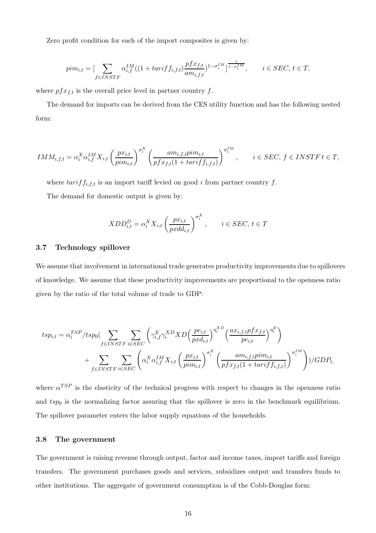Zero profit condition for each of the import composites is given by:

$$
pim_{i,t} = \left[\sum_{f \in INSTF} \alpha_{i,f}^{IM} ((1 + tariff_{i,f,t}) \frac{pf x_{f,t}}{am_{i,f,t}})^{1 - \sigma_i^{IM}}\right]^{\frac{1}{1 - \sigma_i^{IM}}}, \qquad i \in SEC, t \in T,
$$

where  $pfx_{f,t}$  is the overall price level in partner country f.

The demand for imports can be derived from the CES utility function and has the following nested form:

$$
IMM_{i,f,t} = \alpha_i^X \alpha_{i,f}^{IM} X_{i,t} \left(\frac{px_{i,t}}{pim_{i,t}}\right)^{\sigma_i^X} \left(\frac{am_{i,f,t}pim_{i,t}}{pfx_{f,t}(1+tariff_{i,f,t})}\right)^{\sigma_i^{IM}}, \qquad i \in SEC, f \in INSTF \, t \in T,
$$

where  $tariff_{i,f,t}$  is an import tariff levied on good i from partner country f.

The demand for domestic output is given by:

$$
XDD_{i,t}^D = \alpha_i^X X_{i,t} \left(\frac{px_{i,t}}{pxdd_{i,t}}\right)^{\sigma_i^X}, \qquad i \in SEC, t \in T
$$

#### 3.7 Technology spillover

We assume that involvement in international trade generates productivity improvements due to spillovers of knowledge. We assume that these productivity improvements are proportional to the openness ratio given by the ratio of the total volume of trade to GDP:

$$
tsp_{i,t} = \alpha_i^{TSP}/tsp_0 \left( \sum_{f \in INSTF} \sum_{i \in SEC} \left( \gamma_{i,f}^E \gamma_i^{XD} X D \left( \frac{pe_{i,t}}{pxd_{i,t}} \right)^{\eta_i^{XD}} \left( \frac{ax_{i,f,t}pfx_{f,t}}{pe_{i,t}} \right)^{\eta_i^E} \right) + \sum_{f \in INSTF} \sum_{i \in SEC} \left( \alpha_i^X \alpha_{i,f}^{IM} X_{i,t} \left( \frac{px_{i,t}}{pim_{i,t}} \right)^{\sigma_i^X} \left( \frac{am_{i,f,t}pim_{i,t}}{pfx_{f,t}(1 + tariff_{i,f,t})} \right)^{\sigma_i^{IM}} \right) \right) / GDP_t,
$$

where  $\alpha^{TSP}$  is the elasticity of the technical progress with respect to changes in the openness ratio and  $tsp_0$  is the normalizing factor assuring that the spillover is zero in the benchmark equilibrium. The spillover parameter enters the labor supply equations of the households.

#### 3.8 The government

The government is raising revenue through output, factor and income taxes, import tariffs and foreign transfers. The government purchases goods and services, subsidizes output and transfers funds to other institutions. The aggregate of government consumption is of the Cobb-Douglas form: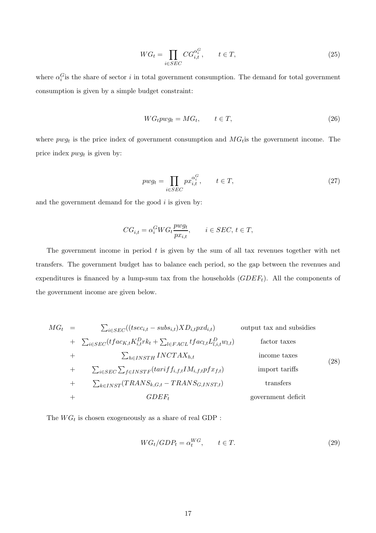$$
WG_t = \prod_{i \in SEC} CG_{i,t}^{\alpha_i^G}, \qquad t \in T,
$$
\n
$$
(25)
$$

where  $\alpha_i^G$  is the share of sector i in total government consumption. The demand for total government consumption is given by a simple budget constraint:

$$
WG_t p w g_t = M G_t, \qquad t \in T,
$$
\n
$$
(26)
$$

where  $p w g_t$  is the price index of government consumption and  $MG_t$  is the government income. The price index  $p w g_t$  is given by:

$$
pwg_t = \prod_{i \in SEC} px_{i,t}^{\alpha_i^G}, \qquad t \in T,
$$
\n
$$
(27)
$$

and the government demand for the good  $i$  is given by:

$$
CG_{i,t} = \alpha_i^G WG_t \frac{pwg_t}{px_{i,t}}, \qquad i \in SEC, t \in T,
$$

The government income in period t is given by the sum of all tax revenues together with net transfers. The government budget has to balance each period, so the gap between the revenues and expenditures is financed by a lump-sum tax from the households  $(GDEF_t)$ . All the components of the government income are given below.

$$
MG_{t} = \sum_{i \in SEC}((tsec_{i,t} - subs_{i,t})XD_{i,t}pxd_{i,t})
$$
 output tax and subsidies  
+ 
$$
\sum_{i \in SEC} (tfac_{K,t}K_{i,t}^{D}rk_{t} + \sum_{l \in FACL} tfac_{l,t}L_{l,i,t}^{D}w_{l,t})
$$
 factor taxes  
+ 
$$
\sum_{h \in INSTH} INCTAX_{h,t}
$$
 income taxes  
+ 
$$
\sum_{i \in SEC} \sum_{f \in INSTF} (tarif f_{i,f,t}IM_{i,f,t}pfx_{f,t})
$$
 import tariffs  
+ 
$$
\sum_{k \in INST} (TRANS_{k,G,t} - TRANS_{G,INST,t})
$$
 transfers  
+ 
$$
GDEF_{t}
$$
 government deficit

The  $WG_t$  is chosen exogeneously as a share of real GDP :

$$
WG_t/GDP_t = \alpha_t^{WG}, \qquad t \in T. \tag{29}
$$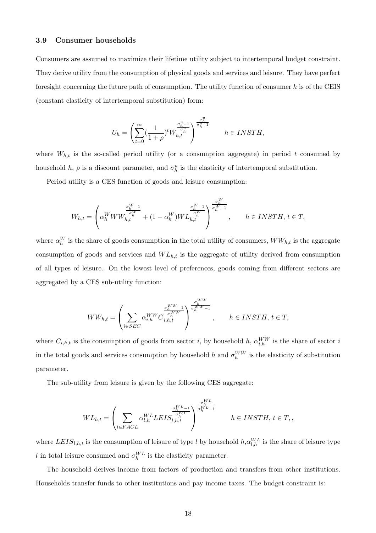#### 3.9 Consumer households

Consumers are assumed to maximize their lifetime utility subject to intertemporal budget constraint. They derive utility from the consumption of physical goods and services and leisure. They have perfect foresight concerning the future path of consumption. The utility function of consumer  $h$  is of the CEIS (constant elasticity of intertemporal substitution) form:

$$
U_h=\left(\sum_{t=0}^{\infty}(\frac{1}{1+\rho})^tW_{h,t}^{\frac{\sigma_h^{u}-1}{\sigma_h^{u}}}\right)^{\frac{\sigma_h^{u}}{\sigma_h^{u}-1}}\qquad h\in INSTH,
$$

where  $W_{h,t}$  is the so-called period utility (or a consumption aggregate) in period t consumed by household h,  $\rho$  is a discount parameter, and  $\sigma_h^u$  is the elasticity of intertemporal substitution.

Period utility is a CES function of goods and leisure consumption:

$$
W_{h,t} = \left(\alpha_h^W WW_{h,t}^{\frac{\sigma_h^W - 1}{\sigma_h^W}} + (1 - \alpha_h^W) WL_{h,t}^{\frac{\sigma_h^W - 1}{\sigma_h^W}}\right)^{\frac{\sigma_h^W}{\sigma_h^W - 1}}, \qquad h \in INSTH, t \in T,
$$

where  $\alpha_h^W$  is the share of goods consumption in the total utility of consumers,  $WW_{h,t}$  is the aggregate consumption of goods and services and  $WL_{h,t}$  is the aggregate of utility derived from consumption of all types of leisure. On the lowest level of preferences, goods coming from different sectors are aggregated by a CES sub-utility function:

$$
WW_{h,t} = \left(\sum_{i \in SEC} \alpha_{i,h}^{WW} C_{i,h,t}^{\frac{\sigma_h^{WW}-1}{\sigma_h^{WW}}}\right)^{\frac{\sigma_h^{WW}}{\sigma_h^{WW}-1}}, \quad h \in INSTH, t \in T,
$$

where  $C_{i,h,t}$  is the consumption of goods from sector i, by household h,  $\alpha_{i,h}^{WW}$  is the share of sector i in the total goods and services consumption by household h and  $\sigma_h^{WW}$  is the elasticity of substitution parameter.

The sub-utility from leisure is given by the following CES aggregate:

$$
WL_{h,t} = \left(\sum_{l \in FACL} \alpha_{l,h}^{WL} L EIS_{l,h,t}^{\frac{\sigma_h^{WL}-1}{\sigma_h^{WL}-1}}\right)^{\frac{\sigma_h^{WL}-1}{\sigma_h^{WL}-1}} \hspace{10mm} h \in INSTH, \, t \in T,
$$

where  $LEIS_{l,h,t}$  is the consumption of leisure of type l by household  $h, \alpha_{l,h}^{WL}$  is the share of leisure type l in total leisure consumed and  $\sigma_h^{WL}$  is the elasticity parameter.

The household derives income from factors of production and transfers from other institutions. Households transfer funds to other institutions and pay income taxes. The budget constraint is: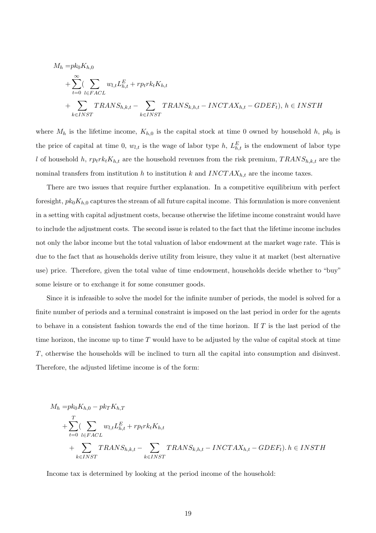$$
M_h = pk_0K_{h,0}
$$
  
+ 
$$
\sum_{t=0}^{\infty} \sum_{l \in FACL} w_{l,t}L_{h,t}^E + rprk_tK_{h,t}
$$
  
+ 
$$
\sum_{k \in INST} TRANS_{h,k,t} - \sum_{k \in INST} TRANS_{k,h,t} - INCTAX_{h,t} - GDEF_t), h \in INSTH
$$

where  $M_h$  is the lifetime income,  $K_{h,0}$  is the capital stock at time 0 owned by household h,  $pk_0$  is the price of capital at time 0,  $w_{l,t}$  is the wage of labor type h,  $L_{h,t}^E$  is the endowment of labor type l of household h,  $r p_t r k_t K_{h,t}$  are the household revenues from the risk premium,  $TRANS_{h,k,t}$  are the nominal transfers from institution h to institution k and  $INCTAX_{h,t}$  are the income taxes.

There are two issues that require further explanation. In a competitive equilibrium with perfect foresight,  $pk_0K_{h,0}$  captures the stream of all future capital income. This formulation is more convenient in a setting with capital adjustment costs, because otherwise the lifetime income constraint would have to include the adjustment costs. The second issue is related to the fact that the lifetime income includes not only the labor income but the total valuation of labor endowment at the market wage rate. This is due to the fact that as households derive utility from leisure, they value it at market (best alternative use) price. Therefore, given the total value of time endowment, households decide whether to "buy" some leisure or to exchange it for some consumer goods.

Since it is infeasible to solve the model for the infinite number of periods, the model is solved for a finite number of periods and a terminal constraint is imposed on the last period in order for the agents to behave in a consistent fashion towards the end of the time horizon. If  $T$  is the last period of the time horizon, the income up to time  $T$  would have to be adjusted by the value of capital stock at time T, otherwise the households will be inclined to turn all the capital into consumption and disinvest. Therefore, the adjusted lifetime income is of the form:

$$
M_h = pk_0K_{h,0} - pk_TK_{h,T}
$$
  
+ 
$$
\sum_{t=0}^{T} \sum_{l \in FACT} w_{l,t}L_{h,t}^{E} + rprk_tK_{h,t}
$$
  
+ 
$$
\sum_{k \in INST} TRANS_{h,k,t} - \sum_{k \in INST} TRANS_{k,h,t} - INCTAX_{h,t} - GDEF_t). h \in INSTH
$$

Income tax is determined by looking at the period income of the household: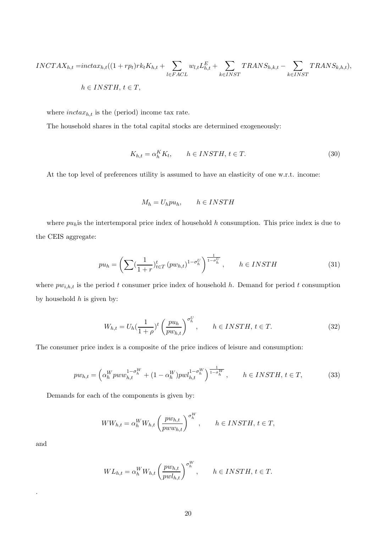$$
INCTAX_{h,t} = \text{int} \, \text{arctan}_{h,t} \left( (1+rp_t) r k_t K_{h,t} + \sum_{l \in FACL} w_{l,t} L_{h,t}^E + \sum_{k \in INST} TRANS_{h,k,t} - \sum_{k \in INST} TRANS_{k,h,t} \right),
$$
\n
$$
h \in INSTH, \, t \in T,
$$

where  $inctax_{h,t}$  is the (period) income tax rate.

The household shares in the total capital stocks are determined exogeneously:

$$
K_{h,t} = \alpha_h^K K_t, \qquad h \in INSTH, \, t \in T. \tag{30}
$$

At the top level of preferences utility is assumed to have an elasticity of one w.r.t. income:

$$
M_h = U_h p u_h, \qquad h \in INSTH
$$

where  $pu<sub>h</sub>$  is the intertemporal price index of household h consumption. This price index is due to the CEIS aggregate:

$$
pu_h = \left(\sum_{k=1}^{\infty} \left(\frac{1}{1+r}\right)^t_{t \in T} \left(pw_{h,t}\right)^{1-\sigma_h^U}\right)^{\frac{1}{1-\sigma_h^U}}, \qquad h \in INSTH
$$
\n
$$
(31)
$$

where  $pw_{i,h,t}$  is the period t consumer price index of household h. Demand for period t consumption by household  $h$  is given by:

$$
W_{h,t} = U_h \left(\frac{1}{1+\rho}\right)^t \left(\frac{pu_h}{pw_{h,t}}\right)^{\sigma_h^U}, \qquad h \in INSTH, \ t \in T. \tag{32}
$$

The consumer price index is a composite of the price indices of leisure and consumption:

$$
pw_{h,t} = \left(\alpha_h^Wpww_{h,t}^{1-\sigma_h^W} + (1-\alpha_h^W)pwl_{h,t}^{1-\sigma_h^W}\right)^{\frac{1}{1-\sigma_h^W}}, \qquad h \in INSTH, \, t \in T,\tag{33}
$$

Demands for each of the components is given by:

$$
WW_{h,t} = \alpha_h^W W_{h,t} \left(\frac{pw_{h,t}}{pw w_{h,t}}\right)^{\sigma_h^W}, \qquad h \in INSTH, t \in T,
$$

and

.

$$
WL_{h,t} = \alpha_h^W W_{h,t} \left(\frac{pw_{h,t}}{pw_{h,t}}\right)^{\sigma_h^W}, \qquad h \in INSTH, t \in T.
$$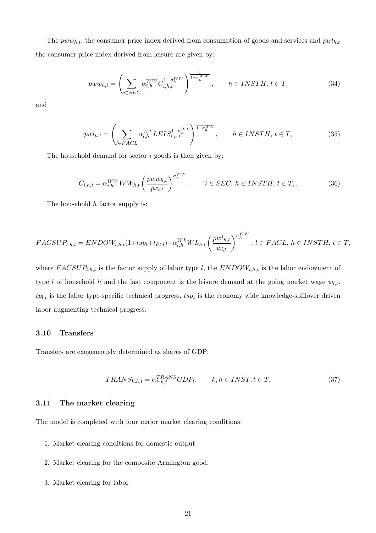The  $pww_{h,t}$ , the consumer price index derived from consumption of goods and services and  $pwl_{h,t}$ the consumer price index derived from leisure are given by:

$$
pww_{h,t} = \left(\sum_{i \in SEC} \alpha_{i,h}^{WW} C_{i,h,t}^{1-\sigma_h^{WW}}\right)^{\frac{1}{1-\sigma_h^{WW}}}, \qquad h \in INSTH, t \in T,
$$
\n(34)

and

$$
pwl_{h,t} = \left(\sum_{l \in FACL} \alpha_{l,h}^{WL} L EIS_{l,h,t}^{1-\sigma_{h}^{WL}}\right)^{\frac{1}{1-\sigma_{h}^{WL}}}, \quad h \in INSTH, t \in T,
$$
\n(35)

The household demand for sector  $i$  goods is then given by:

$$
C_{i,h,t} = \alpha_{i,h}^{WW} WW_{h,t} \left(\frac{pww_{h,t}}{px_{i,t}}\right)^{\sigma_h^{WW}}, \qquad i \in SEC, h \in INSTH, t \in T,
$$
\n(36)

The household  $h$  factor supply is:

$$
FACSUP_{l,h,t} = ENDOW_{l,h,t}(1+ tsp_t+tp_{l,t}) - \alpha_{l,h}^{WL}WL_{h,t} \left(\frac{pwl_{h,t}}{w_{l,t}}\right)^{\sigma_h^{WW}}, l \in FACL, h \in INSTH, t \in T,
$$

where  $FACSUP_{l,h,t}$  is the factor supply of labor type l, the  $ENDOW_{l,h,t}$  is the labor endowment of type l of household h and the last component is the leisure demand at the going market wage  $w_{l,t}$ .  $tp_{l,t}$  is the labor type-specific technical progress,  $tsp_t$  is the economy wide knowledge-spillover driven labor augmenting technical progress.

#### 3.10 Transfers

Transfers are exogeneously determined as shares of GDP:

$$
TRANS_{k,h,t} = \alpha_{k,h,t}^{TRANS} GDP_t, \qquad k, h \in INST, t \in T.
$$
\n
$$
(37)
$$

#### 3.11 The market clearing

The model is completed with four major market clearing conditions:

- 1. Market clearing conditions for domestic output
- 2. Market clearing for the composite Armington good.
- 3. Market clearing for labor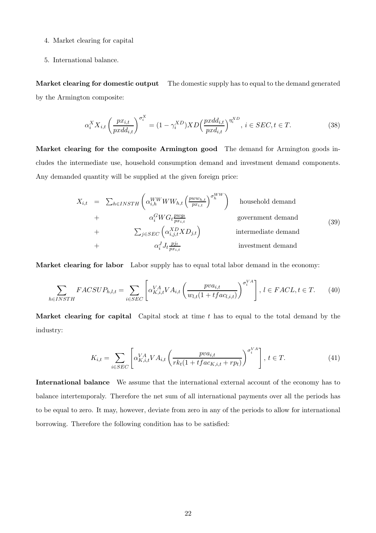- 4. Market clearing for capital
- 5. International balance.

Market clearing for domestic output The domestic supply has to equal to the demand generated by the Armington composite:

$$
\alpha_i^X X_{i,t} \left(\frac{px_{i,t}}{pxdd_{i,t}}\right)^{\sigma_i^X} = (1 - \gamma_i^{XD}) X D \left(\frac{pxdd_{i,t}}{pxd_{i,t}}\right)^{\eta_i^X D}, \ i \in SEC, t \in T. \tag{38}
$$

Market clearing for the composite Armington good The demand for Armington goods includes the intermediate use, household consumption demand and investment demand components. Any demanded quantity will be supplied at the given foreign price:

$$
X_{i,t} = \sum_{h \in INSTH} \left( \alpha_{i,h}^{WWW} W_{h,t} \left( \frac{pw w_{h,t}}{px_{i,t}} \right)^{\sigma_h^{WW}} \right) \text{ household demand}
$$
  
+  $\alpha_i^G WG_t \frac{pw g_t}{px_{i,t}}$  government demand  
+  $\sum_{j \in SEC} \left( \alpha_{i,j,t}^{XD} X D_{j,t} \right)$  intermediate demand  
+  $\alpha_i^J J_t \frac{p_{jt}}{px_{i,t}}$  investment demand

Market clearing for labor Labor supply has to equal total labor demand in the economy:

$$
\sum_{h \in INSTH} FACSUP_{h,l,t} = \sum_{i \in SEC} \left[ \alpha_{K,i,t}^{VA} VA_{i,t} \left( \frac{pva_{i,t}}{w_{l,t}(1 + tfac_{l,i,t})} \right)^{\sigma_i^{VA}} \right], \ l \in FACL, t \in T. \tag{40}
$$

**Market clearing for capital** Capital stock at time  $t$  has to equal to the total demand by the industry:

$$
K_{i,t} = \sum_{i \in SEC} \left[ \alpha_{K,i,t}^{VA} VA_{i,t} \left( \frac{pva_{i,t}}{rk_t(1 + tfac_{K,i,t} + rp_t)} \right)^{\sigma_i^{VA}} \right], \ t \in T.
$$
 (41)

International balance We assume that the international external account of the economy has to balance intertemporaly. Therefore the net sum of all international payments over all the periods has to be equal to zero. It may, however, deviate from zero in any of the periods to allow for international borrowing. Therefore the following condition has to be satisfied: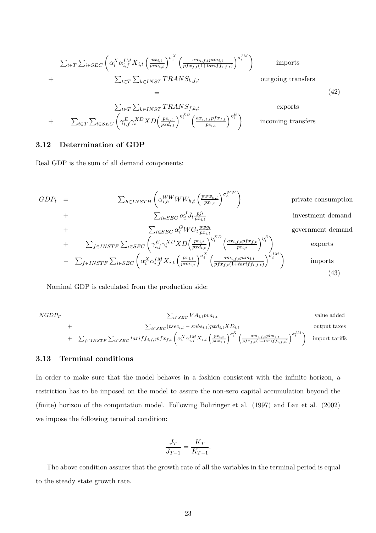$$
\sum_{t \in T} \sum_{i \in SEC} \left( \alpha_i^X \alpha_{i,f}^{IM} X_{i,t} \left( \frac{p x_{i,t}}{p i m_{i,t}} \right)^{\sigma_i^X} \left( \frac{a m_{i,f,t} p i m_{i,t}}{p f x_{f,t} (1 + t a r i f_{i,f,t})} \right)^{\sigma_i^I M} \right) \qquad \text{imports}
$$
\n
$$
+ \sum_{t \in T} \sum_{k \in INST} TRANS_{k,f,t} \qquad \text{outgoing transfers}
$$

$$
\sum_{t \in T} \sum_{k \in INST} TRANS_{f,k,t} \qquad \text{exports}
$$
  
+ 
$$
\sum_{t \in T} \sum_{i \in SEC} \left( \gamma_{i,f}^E \gamma_i^{XD} XD \left( \frac{pe_{i,t}}{pxd_{i,t}} \right)^{\eta_i^{KD}} \left( \frac{ax_{i,f,t}pfx_{f,t}}{pe_{i,t}} \right)^{\eta_i^E} \right) \qquad \text{incoming tra}
$$

insfers

(42)

## 3.12 Determination of GDP

Real GDP is the sum of all demand components:

$$
GDP_{t} = \sum_{h \in INSTH} \left( \alpha_{i,h}^{WW} WW_{h,t} \left( \frac{pww_{h,t}}{px_{i,t}} \right)^{\sigma_{h}^{WW}} \right) \qquad \text{private consumption}
$$
  
+ 
$$
\sum_{i \in SEC} \alpha_{i}^{J} J_{t} \frac{p_{it}}{px_{i,t}} \qquad \text{investment demand}
$$
  
+ 
$$
\sum_{i \in SEC} \alpha_{i}^{G} WG t \frac{pwg_{t}}{px_{i,t}} \qquad \text{government demand}
$$
  
+ 
$$
\sum_{f \in INSTF} \sum_{i \in SEC} \left( \gamma_{i,f}^{E} \gamma_{i}^{XD} X D \left( \frac{pe_{i,t}}{px_{i,t}} \right)^{\eta_{i}^{XD}} \left( \frac{ax_{i,f,t}pfx_{f,t}}{pe_{i,t}} \right)^{\eta_{i}^{E}} \right) \qquad \text{exports}
$$
  
- 
$$
\sum_{f \in INSTF} \sum_{i \in SEC} \left( \alpha_{i}^{X} \alpha_{i,f}^{IM} X_{i,t} \left( \frac{px_{i,t}}{pim_{i,t}} \right)^{\sigma_{i}^{X}} \left( \frac{am_{i,f,t}pim_{i,t}}{pfx_{f,t}(1+tarif_{f,i,t})} \right)^{\sigma_{i}^{IM}} \right) \qquad \text{imports}
$$
(43)

Nominal GDP is calculated from the production side:

$$
NGDP_T = \sum_{i \in SEC} VA_{i,t} pva_{i,t}
$$
 value added  
+
$$
\sum_{i \in SEC} (tsec_{i,t} - subs_{i,t}) pxd_{i,t} XD_{i,t}
$$
 output taxes  
+
$$
\sum_{f \in INSTF} \sum_{i \in SEC} tariff_{i,f,t} pfx_{f,t} \left(\alpha_i^X \alpha_{i,f}^{IM} X_{i,t} \left(\frac{p x_{i,t}}{p i m_{i,t}}\right)^{\sigma_i^X} \left(\frac{a m_{i,f,t} p i m_{i,t}}{p fx_{f,t} (1+tariff_{i,f,t})}\right)^{\sigma_i^I M}\right)
$$
 import tariffs

#### 3.13 Terminal conditions

In order to make sure that the model behaves in a fashion consistent with the infinite horizon, a restriction has to be imposed on the model to assure the non-zero capital accumulation beyond the (finite) horizon of the computation model. Following Bohringer et al. (1997) and Lau et al. (2002) we impose the following terminal condition:

$$
\frac{J_T}{J_{T-1}} = \frac{K_T}{K_{T-1}}.
$$

The above condition assures that the growth rate of all the variables in the terminal period is equal to the steady state growth rate.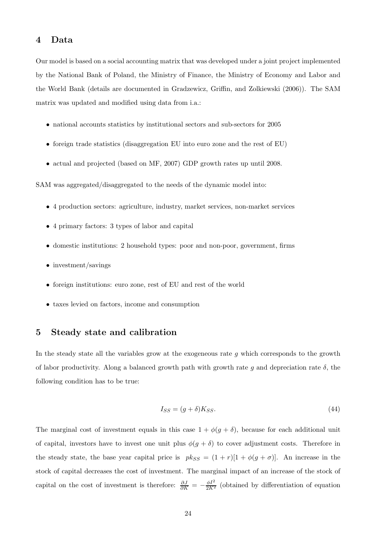## 4 Data

Our model is based on a social accounting matrix that was developed under a joint project implemented by the National Bank of Poland, the Ministry of Finance, the Ministry of Economy and Labor and the World Bank (details are documented in Gradzewicz, Griffin, and Zolkiewski (2006)). The SAM matrix was updated and modified using data from i.a.:

- national accounts statistics by institutional sectors and sub-sectors for 2005
- foreign trade statistics (disaggregation EU into euro zone and the rest of EU)
- actual and projected (based on MF, 2007) GDP growth rates up until 2008.

SAM was aggregated/disaggregated to the needs of the dynamic model into:

- 4 production sectors: agriculture, industry, market services, non-market services
- 4 primary factors: 3 types of labor and capital
- domestic institutions: 2 household types: poor and non-poor, government, firms
- investment/savings
- foreign institutions: euro zone, rest of EU and rest of the world
- taxes levied on factors, income and consumption

# 5 Steady state and calibration

In the steady state all the variables grow at the exogeneous rate  $g$  which corresponds to the growth of labor productivity. Along a balanced growth path with growth rate q and depreciation rate  $\delta$ , the following condition has to be true:

$$
I_{SS} = (g + \delta)K_{SS}.\tag{44}
$$

The marginal cost of investment equals in this case  $1 + \phi(g + \delta)$ , because for each additional unit of capital, investors have to invest one unit plus  $\phi(g + \delta)$  to cover adjustment costs. Therefore in the steady state, the base year capital price is  $pk_{SS} = (1 + r)[1 + \phi(g + \sigma)].$  An increase in the stock of capital decreases the cost of investment. The marginal impact of an increase of the stock of capital on the cost of investment is therefore:  $\frac{\partial J}{\partial K} = -\frac{\phi I^2}{2K^2}$  (obtained by differentiation of equation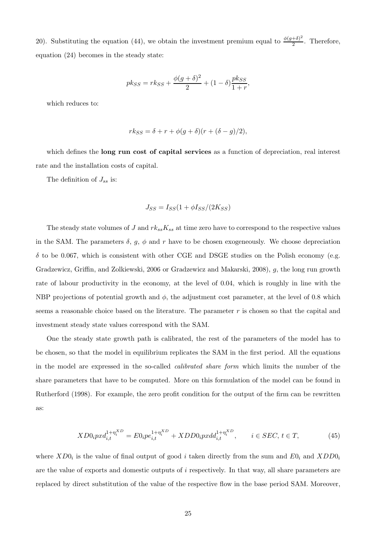20). Substituting the equation (44), we obtain the investment premium equal to  $\frac{\phi(g+\delta)^2}{2}$  $\frac{+0)^2}{2}$ . Therefore, equation (24) becomes in the steady state:

$$
p k_{SS} = r k_{SS} + \frac{\phi(g+\delta)^2}{2} + (1-\delta) \frac{p k_{SS}}{1+r},
$$

which reduces to:

$$
rk_{SS} = \delta + r + \phi(g + \delta)(r + (\delta - g)/2),
$$

which defines the **long run cost of capital services** as a function of depreciation, real interest rate and the installation costs of capital.

The definition of  $J_{ss}$  is:

$$
J_{SS} = I_{SS}(1 + \phi I_{SS}/(2K_{SS})
$$

The steady state volumes of J and  $rk_{ss}K_{ss}$  at time zero have to correspond to the respective values in the SAM. The parameters  $\delta$ ,  $g$ ,  $\phi$  and  $r$  have to be chosen exogeneously. We choose depreciation  $\delta$  to be 0.067, which is consistent with other CGE and DSGE studies on the Polish economy (e.g. Gradzewicz, Griffin, and Zolkiewski, 2006 or Gradzewicz and Makarski, 2008), g, the long run growth rate of labour productivity in the economy, at the level of 0.04, which is roughly in line with the NBP projections of potential growth and  $\phi$ , the adjustment cost parameter, at the level of 0.8 which seems a reasonable choice based on the literature. The parameter  $r$  is chosen so that the capital and investment steady state values correspond with the SAM.

One the steady state growth path is calibrated, the rest of the parameters of the model has to be chosen, so that the model in equilibrium replicates the SAM in the first period. All the equations in the model are expressed in the so-called *calibrated share form* which limits the number of the share parameters that have to be computed. More on this formulation of the model can be found in Rutherford (1998). For example, the zero profit condition for the output of the firm can be rewritten as:

$$
XD0_i pxd_{i,t}^{1+\eta_i^{XD}} = E0_i p e_{i,t}^{1+\eta_i^{XD}} + XDD0_i pxd_{i,t}^{1+\eta_i^{XD}}, \qquad i \in SEC, t \in T,
$$
\n(45)

where  $X_{U_i}$  is the value of final output of good i taken directly from the sum and  $E_{U_i}$  and  $X_{U_i}$ are the value of exports and domestic outputs of  $i$  respectively. In that way, all share parameters are replaced by direct substitution of the value of the respective flow in the base period SAM. Moreover,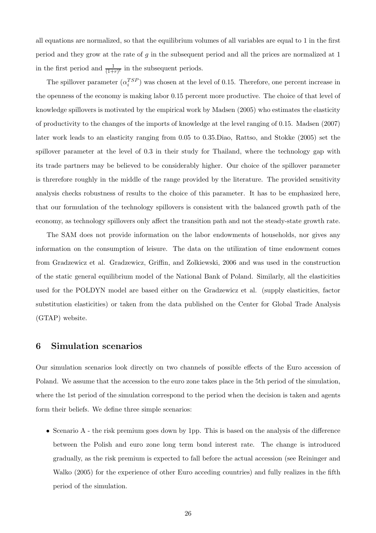all equations are normalized, so that the equilibrium volumes of all variables are equal to 1 in the first period and they grow at the rate of  $g$  in the subsequent period and all the prices are normalized at 1 in the first period and  $\frac{1}{(1+r)^t}$  in the subsequent periods.

The spillover parameter  $(\alpha_i^{TSP})$  was chosen at the level of 0.15. Therefore, one percent increase in the openness of the economy is making labor 0.15 percent more productive. The choice of that level of knowledge spillovers is motivated by the empirical work by Madsen (2005) who estimates the elasticity of productivity to the changes of the imports of knowledge at the level ranging of 0.15. Madsen (2007) later work leads to an elasticity ranging from 0.05 to 0.35.Diao, Rattso, and Stokke (2005) set the spillover parameter at the level of 0.3 in their study for Thailand, where the technology gap with its trade partners may be believed to be considerably higher. Our choice of the spillover parameter is threrefore roughly in the middle of the range provided by the literature. The provided sensitivity analysis checks robustness of results to the choice of this parameter. It has to be emphasized here, that our formulation of the technology spillovers is consistent with the balanced growth path of the economy, as technology spillovers only affect the transition path and not the steady-state growth rate.

The SAM does not provide information on the labor endowments of households, nor gives any information on the consumption of leisure. The data on the utilization of time endowment comes from Gradzewicz et al. Gradzewicz, Griffin, and Zolkiewski, 2006 and was used in the construction of the static general equilibrium model of the National Bank of Poland. Similarly, all the elasticities used for the POLDYN model are based either on the Gradzewicz et al. (supply elasticities, factor substitution elasticities) or taken from the data published on the Center for Global Trade Analysis (GTAP) website.

### 6 Simulation scenarios

Our simulation scenarios look directly on two channels of possible effects of the Euro accession of Poland. We assume that the accession to the euro zone takes place in the 5th period of the simulation, where the 1st period of the simulation correspond to the period when the decision is taken and agents form their beliefs. We define three simple scenarios:

• Scenario A - the risk premium goes down by 1pp. This is based on the analysis of the difference between the Polish and euro zone long term bond interest rate. The change is introduced gradually, as the risk premium is expected to fall before the actual accession (see Reininger and Walko (2005) for the experience of other Euro acceding countries) and fully realizes in the fifth period of the simulation.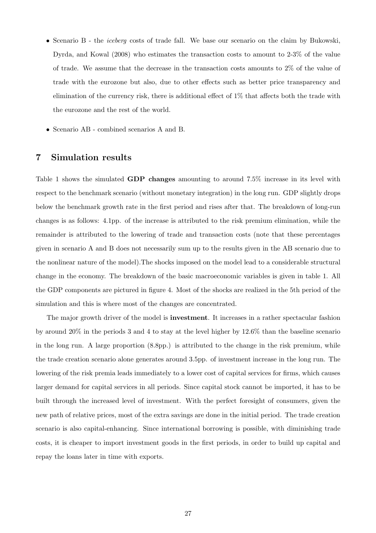- Scenario B the *iceberg* costs of trade fall. We base our scenario on the claim by Bukowski, Dyrda, and Kowal (2008) who estimates the transaction costs to amount to 2-3% of the value of trade. We assume that the decrease in the transaction costs amounts to 2% of the value of trade with the eurozone but also, due to other effects such as better price transparency and elimination of the currency risk, there is additional effect of 1% that affects both the trade with the eurozone and the rest of the world.
- Scenario AB combined scenarios A and B.

# 7 Simulation results

Table 1 shows the simulated **GDP changes** amounting to around 7.5% increase in its level with respect to the benchmark scenario (without monetary integration) in the long run. GDP slightly drops below the benchmark growth rate in the first period and rises after that. The breakdown of long-run changes is as follows: 4.1pp. of the increase is attributed to the risk premium elimination, while the remainder is attributed to the lowering of trade and transaction costs (note that these percentages given in scenario A and B does not necessarily sum up to the results given in the AB scenario due to the nonlinear nature of the model).The shocks imposed on the model lead to a considerable structural change in the economy. The breakdown of the basic macroeconomic variables is given in table 1. All the GDP components are pictured in figure 4. Most of the shocks are realized in the 5th period of the simulation and this is where most of the changes are concentrated.

The major growth driver of the model is **investment**. It increases in a rather spectacular fashion by around 20% in the periods 3 and 4 to stay at the level higher by 12.6% than the baseline scenario in the long run. A large proportion (8.8pp.) is attributed to the change in the risk premium, while the trade creation scenario alone generates around 3.5pp. of investment increase in the long run. The lowering of the risk premia leads immediately to a lower cost of capital services for firms, which causes larger demand for capital services in all periods. Since capital stock cannot be imported, it has to be built through the increased level of investment. With the perfect foresight of consumers, given the new path of relative prices, most of the extra savings are done in the initial period. The trade creation scenario is also capital-enhancing. Since international borrowing is possible, with diminishing trade costs, it is cheaper to import investment goods in the first periods, in order to build up capital and repay the loans later in time with exports.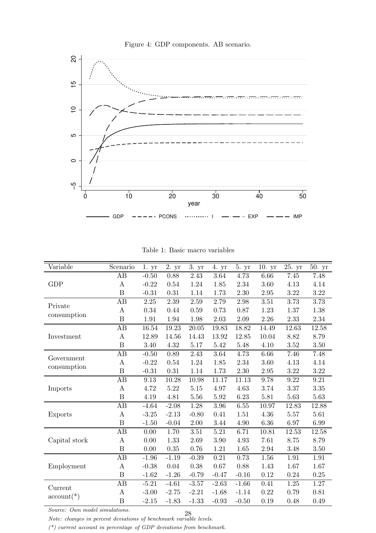

Figure 4: GDP components. AB scenario.

|  |  | Table 1: Basic macro variables |
|--|--|--------------------------------|
|  |  |                                |

| Variable                    | Scenario              | 1. yr    | 2. yr    | 3. yr     | 4. yr    | 5. yr    | 10.yr     | 25. yr            | 50. yr            |
|-----------------------------|-----------------------|----------|----------|-----------|----------|----------|-----------|-------------------|-------------------|
|                             | AB                    | $-0.50$  | 0.88     | 2.43      | 3.64     | 4.73     | 6.66      | $7.45\,$          | 7.48              |
| <b>GDP</b>                  | A                     | $-0.22$  | 0.54     | 1.24      | 1.85     | 2.34     | 3.60      | 4.13              | 4.14              |
|                             | B                     | $-0.31$  | 0.31     | 1.14      | 1.73     | 2.30     | 2.95      | 3.22              | $3.22\,$          |
|                             | AB                    | 2.25     | 2.39     | 2.59      | 2.79     | 2.98     | 3.51      | $\overline{3.73}$ | $\overline{3.73}$ |
| Private                     | Α                     | 0.34     | 0.44     | 0.59      | 0.73     | 0.87     | 1.23      | 1.37              | 1.38              |
| consumption                 | $\boldsymbol{B}$      | 1.91     | 1.94     | 1.98      | 2.03     | 2.09     | $2.26\,$  | 2.33              | $2.34\,$          |
|                             | AB                    | 16.54    | 19.23    | 20.05     | 19.83    | 18.82    | 14.49     | 12.63             | $12.58\,$         |
| Investment                  | $\boldsymbol{A}$      | 12.89    | 14.56    | 14.43     | 13.92    | 12.85    | $10.04\,$ | 8.82              | $8.79\,$          |
|                             | $\boldsymbol{B}$      | 3.40     | $4.32\,$ | 5.17      | 5.42     | 5.48     | 4.10      | 3.52              | $3.50\,$          |
| Government                  | AB                    | $-0.50$  | 0.89     | 2.43      | 3.64     | 4.73     | 6.66      | 7.46              | 7.48              |
|                             | Α                     | $-0.22$  | 0.54     | 1.24      | 1.85     | 2.34     | 3.60      | 4.13              | 4.14              |
| consumption                 | $\overline{B}$        | $-0.31$  | 0.31     | 1.14      | 1.73     | 2.30     | 2.95      | $3.22\,$          | $3.22\,$          |
|                             | AB                    | 9.13     | 10.28    | $10.98\,$ | 11.17    | 11.13    | 9.78      | 9.22              | 9.21              |
| Imports                     | $\boldsymbol{A}$      | 4.72     | $5.22\,$ | $5.15\,$  | 4.97     | 4.63     | 3.74      | 3.37              | 3.35              |
|                             | $\boldsymbol{B}$      | 4.19     | 4.81     | 5.56      | $5.92\,$ | 6.23     | 5.81      | $5.63\,$          | $5.63\,$          |
|                             | AB                    | $-4.64$  | $-2.08$  | 1.28      | 3.96     | 6.55     | 10.97     | 12.83             | 12.88             |
| Exports                     | A                     | $-3.25$  | $-2.13$  | $-0.80$   | 0.41     | 1.51     | 4.36      | 5.57              | 5.61              |
|                             | $\boldsymbol{B}$      | $-1.50$  | $-0.04$  | $2.00\,$  | 3.44     | $4.90\,$ | $6.36\,$  | 6.97              | $6.99\,$          |
|                             | AB                    | 0.00     | 1.70     | 3.51      | 5.21     | 6.71     | 10.81     | 12.53             | 12.58             |
| Capital stock               | $\bf{A}$              | 0.00     | 1.33     | 2.69      | 3.90     | 4.93     | 7.61      | 8.75              | 8.79              |
|                             | $\, {\bf B}$          | $0.00\,$ | $0.35\,$ | 0.76      | 1.21     | 1.65     | 2.94      | 3.48              | $3.50\,$          |
|                             | AB                    | $-1.96$  | $-1.19$  | $-0.39$   | 0.21     | 0.73     | 1.56      | 1.91              | 1.91              |
| Employment                  | $\boldsymbol{\rm{A}}$ | $-0.38$  | 0.04     | 0.38      | 0.67     | 0.88     | 1.43      | 1.67              | 1.67              |
|                             | $\boldsymbol{B}$      | $-1.62$  | $-1.26$  | $-0.79$   | $-0.47$  | $-0.16$  | 0.12      | 0.24              | $0.25\,$          |
|                             | AB                    | $-5.21$  | $-4.61$  | $-3.57$   | $-2.63$  | $-1.66$  | 0.41      | 1.25              | 1.27              |
| Current                     | $\boldsymbol{A}$      | $-3.00$  | $-2.75$  | $-2.21$   | $-1.68$  | $-1.14$  | 0.22      | 0.79              | 0.81              |
| $\operatorname{account(*)}$ | $\boldsymbol{B}$      | $-2.15$  | $-1.83$  | $-1.33$   | $-0.93$  | $-0.50$  | 0.19      | 0.48              | 0.49              |

*Note: changes in percent deviations of benchmark variable levels.* 28

*(\*) current account in percentage of GDP deviations from benchmark.*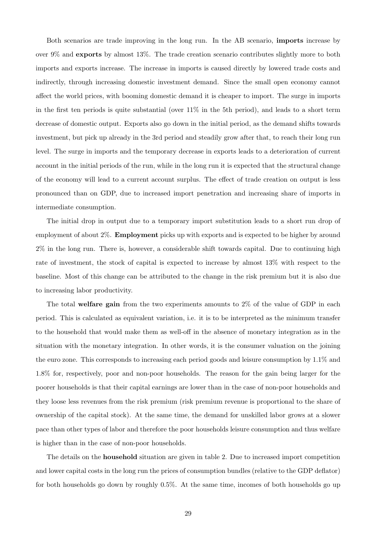Both scenarios are trade improving in the long run. In the AB scenario, imports increase by over 9% and exports by almost 13%. The trade creation scenario contributes slightly more to both imports and exports increase. The increase in imports is caused directly by lowered trade costs and indirectly, through increasing domestic investment demand. Since the small open economy cannot affect the world prices, with booming domestic demand it is cheaper to import. The surge in imports in the first ten periods is quite substantial (over 11% in the 5th period), and leads to a short term decrease of domestic output. Exports also go down in the initial period, as the demand shifts towards investment, but pick up already in the 3rd period and steadily grow after that, to reach their long run level. The surge in imports and the temporary decrease in exports leads to a deterioration of current account in the initial periods of the run, while in the long run it is expected that the structural change of the economy will lead to a current account surplus. The effect of trade creation on output is less pronounced than on GDP, due to increased import penetration and increasing share of imports in intermediate consumption.

The initial drop in output due to a temporary import substitution leads to a short run drop of employment of about 2%. Employment picks up with exports and is expected to be higher by around 2% in the long run. There is, however, a considerable shift towards capital. Due to continuing high rate of investment, the stock of capital is expected to increase by almost 13% with respect to the baseline. Most of this change can be attributed to the change in the risk premium but it is also due to increasing labor productivity.

The total welfare gain from the two experiments amounts to 2% of the value of GDP in each period. This is calculated as equivalent variation, i.e. it is to be interpreted as the minimum transfer to the household that would make them as well-off in the absence of monetary integration as in the situation with the monetary integration. In other words, it is the consumer valuation on the joining the euro zone. This corresponds to increasing each period goods and leisure consumption by 1.1% and 1.8% for, respectively, poor and non-poor households. The reason for the gain being larger for the poorer households is that their capital earnings are lower than in the case of non-poor households and they loose less revenues from the risk premium (risk premium revenue is proportional to the share of ownership of the capital stock). At the same time, the demand for unskilled labor grows at a slower pace than other types of labor and therefore the poor households leisure consumption and thus welfare is higher than in the case of non-poor households.

The details on the household situation are given in table 2. Due to increased import competition and lower capital costs in the long run the prices of consumption bundles (relative to the GDP deflator) for both households go down by roughly 0.5%. At the same time, incomes of both households go up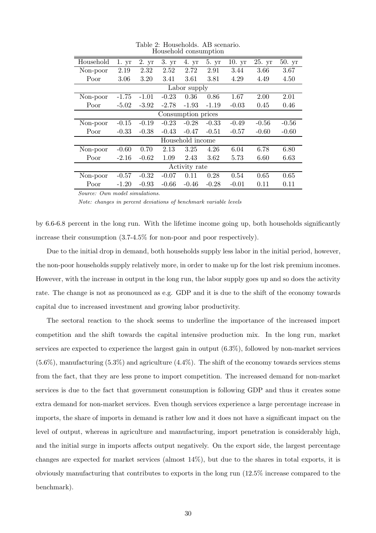| Household | 1.yr    | 2. yr   | 3. yr   | 4. yr              | 5. yr   | 10.yr   | 25. yr  | 50. yr  |
|-----------|---------|---------|---------|--------------------|---------|---------|---------|---------|
| Non-poor  | 2.19    | 2.32    | 2.52    | 2.72               | 2.91    | 3.44    | 3.66    | 3.67    |
| Poor      | 3.06    | 3.20    | 3.41    | 3.61               | 3.81    | 4.29    | 4.49    | 4.50    |
|           |         |         |         | Labor supply       |         |         |         |         |
| Non-poor  | $-1.75$ | $-1.01$ | $-0.23$ | 0.36               | 0.86    | 1.67    | 2.00    | 2.01    |
| Poor      | $-5.02$ | $-3.92$ | $-2.78$ | $-1.93$            | $-1.19$ | $-0.03$ | 0.45    | 0.46    |
|           |         |         |         | Consumption prices |         |         |         |         |
| Non-poor  | $-0.15$ | $-0.19$ | $-0.23$ | $-0.28$            | $-0.33$ | $-0.49$ | $-0.56$ | $-0.56$ |
| Poor      | $-0.33$ | $-0.38$ | $-0.43$ | $-0.47$            | $-0.51$ | $-0.57$ | $-0.60$ | $-0.60$ |
|           |         |         |         | Household income   |         |         |         |         |
| Non-poor  | $-0.60$ | 0.70    | 2.13    | 3.25               | 4.26    | 6.04    | 6.78    | 6.80    |
| Poor      | $-2.16$ | $-0.62$ | 1.09    | 2.43               | 3.62    | 5.73    | 6.60    | 6.63    |
|           |         |         |         | Activity rate      |         |         |         |         |
| Non-poor  | $-0.57$ | $-0.32$ | $-0.07$ | 0.11               | 0.28    | 0.54    | 0.65    | 0.65    |
| Poor      | $-1.20$ | $-0.93$ | $-0.66$ | $-0.46$            | $-0.28$ | $-0.01$ | 0.11    | 0.11    |

Table 2: Households. AB scenario. Household consumption

*Note: changes in percent deviations of benchmark variable levels*

by 6.6-6.8 percent in the long run. With the lifetime income going up, both households significantly increase their consumption (3.7-4.5% for non-poor and poor respectively).

Due to the initial drop in demand, both households supply less labor in the initial period, however, the non-poor households supply relatively more, in order to make up for the lost risk premium incomes. However, with the increase in output in the long run, the labor supply goes up and so does the activity rate. The change is not as pronounced as e.g. GDP and it is due to the shift of the economy towards capital due to increased investment and growing labor productivity.

The sectoral reaction to the shock seems to underline the importance of the increased import competition and the shift towards the capital intensive production mix. In the long run, market services are expected to experience the largest gain in output (6.3%), followed by non-market services  $(5.6\%)$ , manufacturing  $(5.3\%)$  and agriculture  $(4.4\%)$ . The shift of the economy towards services stems from the fact, that they are less prone to import competition. The increased demand for non-market services is due to the fact that government consumption is following GDP and thus it creates some extra demand for non-market services. Even though services experience a large percentage increase in imports, the share of imports in demand is rather low and it does not have a significant impact on the level of output, whereas in agriculture and manufacturing, import penetration is considerably high, and the initial surge in imports affects output negatively. On the export side, the largest percentage changes are expected for market services (almost 14%), but due to the shares in total exports, it is obviously manufacturing that contributes to exports in the long run (12.5% increase compared to the benchmark).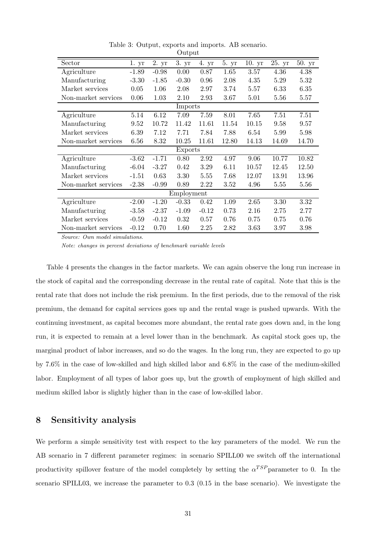| Sector              | 1.yr    | 2. yr   | 3. yr      | 4. yr    | 5. yr | 10.yr | 25. yr | 50. yr |
|---------------------|---------|---------|------------|----------|-------|-------|--------|--------|
| Agriculture         | $-1.89$ | $-0.98$ | 0.00       | 0.87     | 1.65  | 3.57  | 4.36   | 4.38   |
| Manufacturing       | $-3.30$ | $-1.85$ | $-0.30$    | 0.96     | 2.08  | 4.35  | 5.29   | 5.32   |
| Market services     | 0.05    | 1.06    | 2.08       | 2.97     | 3.74  | 5.57  | 6.33   | 6.35   |
| Non-market services | 0.06    | 1.03    | 2.10       | 2.93     | 3.67  | 5.01  | 5.56   | 5.57   |
|                     |         |         | Imports    |          |       |       |        |        |
| Agriculture         | 5.14    | 6.12    | 7.09       | 7.59     | 8.01  | 7.65  | 7.51   | 7.51   |
| Manufacturing       | 9.52    | 10.72   | 11.42      | 11.61    | 11.54 | 10.15 | 9.58   | 9.57   |
| Market services     | 6.39    | 7.12    | 7.71       | 7.84     | 7.88  | 6.54  | 5.99   | 5.98   |
| Non-market services | 6.56    | 8.32    | 10.25      | 11.61    | 12.80 | 14.13 | 14.69  | 14.70  |
|                     |         |         | Exports    |          |       |       |        |        |
| Agriculture         | $-3.62$ | $-1.71$ | 0.80       | 2.92     | 4.97  | 9.06  | 10.77  | 10.82  |
| Manufacturing       | $-6.04$ | $-3.27$ | 0.42       | $3.29\,$ | 6.11  | 10.57 | 12.45  | 12.50  |
| Market services     | $-1.51$ | 0.63    | 3.30       | 5.55     | 7.68  | 12.07 | 13.91  | 13.96  |
| Non-market services | $-2.38$ | $-0.99$ | 0.89       | 2.22     | 3.52  | 4.96  | 5.55   | 5.56   |
|                     |         |         | Employment |          |       |       |        |        |
| Agriculture         | $-2.00$ | $-1.20$ | $-0.33$    | 0.42     | 1.09  | 2.65  | 3.30   | 3.32   |
| Manufacturing       | $-3.58$ | $-2.37$ | $-1.09$    | $-0.12$  | 0.73  | 2.16  | 2.75   | 2.77   |
| Market services     | $-0.59$ | $-0.12$ | 0.32       | 0.57     | 0.76  | 0.75  | 0.75   | 0.76   |
| Non-market services | $-0.12$ | 0.70    | 1.60       | 2.25     | 2.82  | 3.63  | 3.97   | 3.98   |
|                     |         |         |            |          |       |       |        |        |

Table 3: Output, exports and imports. AB scenario. Output

*Note: changes in percent deviations of benchmark variable levels*

Table 4 presents the changes in the factor markets. We can again observe the long run increase in the stock of capital and the corresponding decrease in the rental rate of capital. Note that this is the rental rate that does not include the risk premium. In the first periods, due to the removal of the risk premium, the demand for capital services goes up and the rental wage is pushed upwards. With the continuing investment, as capital becomes more abundant, the rental rate goes down and, in the long run, it is expected to remain at a level lower than in the benchmark. As capital stock goes up, the marginal product of labor increases, and so do the wages. In the long run, they are expected to go up by 7.6% in the case of low-skilled and high skilled labor and 6.8% in the case of the medium-skilled labor. Employment of all types of labor goes up, but the growth of employment of high skilled and medium skilled labor is slightly higher than in the case of low-skilled labor.

# 8 Sensitivity analysis

We perform a simple sensitivity test with respect to the key parameters of the model. We run the AB scenario in 7 different parameter regimes: in scenario SPILL00 we switch off the international productivity spillover feature of the model completely by setting the  $\alpha^{TSP}$  parameter to 0. In the scenario SPILL03, we increase the parameter to 0.3 (0.15 in the base scenario). We investigate the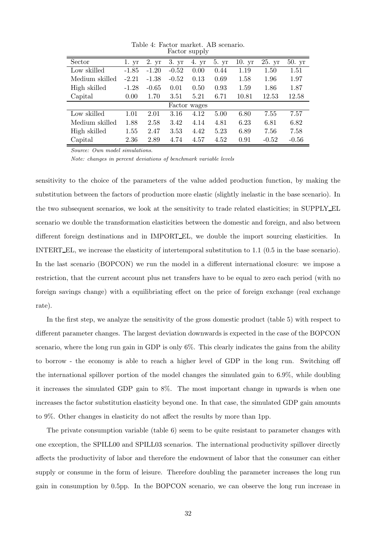| Sector         | 1. yr   | 2. yr   | 3. yr   | 4. yr        | 5. yr | 10.yr | 25. yr  | 50. yr  |
|----------------|---------|---------|---------|--------------|-------|-------|---------|---------|
| Low skilled    | $-1.85$ | $-1.20$ | $-0.52$ | 0.00         | 0.44  | 1.19  | 1.50    | 1.51    |
| Medium skilled | $-2.21$ | $-1.38$ | $-0.52$ | 0.13         | 0.69  | 1.58  | 1.96    | 1.97    |
| High skilled   | $-1.28$ | $-0.65$ | 0.01    | 0.50         | 0.93  | 1.59  | 1.86    | 1.87    |
| Capital        | 0.00    | 1.70    | 3.51    | 5.21         | 6.71  | 10.81 | 12.53   | 12.58   |
|                |         |         |         | Factor wages |       |       |         |         |
| Low skilled    | 1.01    | 2.01    | 3.16    | 4.12         | 5.00  | 6.80  | 7.55    | 7.57    |
| Medium skilled | 1.88    | 2.58    | 3.42    | 4.14         | 4.81  | 6.23  | 6.81    | 6.82    |
| High skilled   | 1.55    | 2.47    | 3.53    | 4.42         | 5.23  | 6.89  | 7.56    | 7.58    |
| Capital        | 2.36    | 2.89    | 4.74    | 4.57         | 4.52  | 0.91  | $-0.52$ | $-0.56$ |

Table 4: Factor market. AB scenario. Factor supply

*Note: changes in percent deviations of benchmark variable levels*

sensitivity to the choice of the parameters of the value added production function, by making the substitution between the factors of production more elastic (slightly inelastic in the base scenario). In the two subsequent scenarios, we look at the sensitivity to trade related elasticities; in SUPPLY EL scenario we double the transformation elasticities between the domestic and foreign, and also between different foreign destinations and in IMPORT EL, we double the import sourcing elasticities. In INTERT EL, we increase the elasticity of intertemporal substitution to 1.1 (0.5 in the base scenario). In the last scenario (BOPCON) we run the model in a different international closure: we impose a restriction, that the current account plus net transfers have to be equal to zero each period (with no foreign savings change) with a equilibriating effect on the price of foreign exchange (real exchange rate).

In the first step, we analyze the sensitivity of the gross domestic product (table 5) with respect to different parameter changes. The largest deviation downwards is expected in the case of the BOPCON scenario, where the long run gain in GDP is only 6%. This clearly indicates the gains from the ability to borrow - the economy is able to reach a higher level of GDP in the long run. Switching off the international spillover portion of the model changes the simulated gain to 6.9%, while doubling it increases the simulated GDP gain to 8%. The most important change in upwards is when one increases the factor substitution elasticity beyond one. In that case, the simulated GDP gain amounts to 9%. Other changes in elasticity do not affect the results by more than 1pp.

The private consumption variable (table 6) seem to be quite resistant to parameter changes with one exception, the SPILL00 and SPILL03 scenarios. The international productivity spillover directly affects the productivity of labor and therefore the endowment of labor that the consumer can either supply or consume in the form of leisure. Therefore doubling the parameter increases the long run gain in consumption by 0.5pp. In the BOPCON scenario, we can observe the long run increase in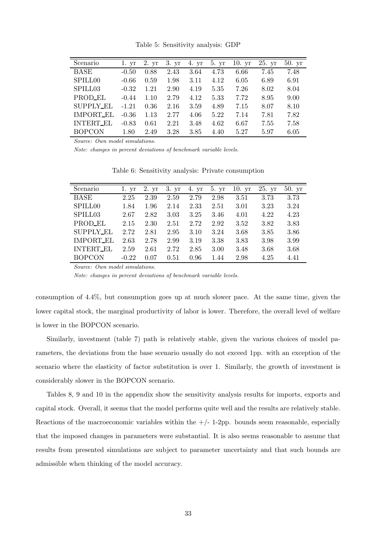|  |  | Table 5: Sensitivity analysis: GDP |  |  |
|--|--|------------------------------------|--|--|
|--|--|------------------------------------|--|--|

| Scenario         | 1. yr   | 2. yr | 3. yr | 4. yr | 5.yr | 10.yr | 25. yr | 50. yr |
|------------------|---------|-------|-------|-------|------|-------|--------|--------|
| BASE             | $-0.50$ | 0.88  | 2.43  | 3.64  | 4.73 | 6.66  | 7.45   | 7.48   |
| SPILL00          | $-0.66$ | 0.59  | 1.98  | 3.11  | 4.12 | 6.05  | 6.89   | 6.91   |
| SPILL03          | $-0.32$ | 1.21  | 2.90  | 4.19  | 5.35 | 7.26  | 8.02   | 8.04   |
| PROD_EL          | $-0.44$ | 1.10  | 2.79  | 4.12  | 5.33 | 7.72  | 8.95   | 9.00   |
| <b>SUPPLY_EL</b> | $-1.21$ | 0.36  | 2.16  | 3.59  | 4.89 | 7.15  | 8.07   | 8.10   |
| <b>IMPORT_EL</b> | $-0.36$ | 1.13  | 2.77  | 4.06  | 5.22 | 7.14  | 7.81   | 7.82   |
| <b>INTERT_EL</b> | $-0.83$ | 0.61  | 2.21  | 3.48  | 4.62 | 6.67  | 7.55   | 7.58   |
| <b>BOPCON</b>    | 1.80    | 2.49  | 3.28  | 3.85  | 4.40 | 5.27  | 5.97   | 6.05   |

*Note: changes in percent deviations of benchmark variable levels.*

| Scenario            | 1. yr   | 2. yr | 3. yr | 4. yr | 5. yr | 10.yr | 25.yr | 50.yr |
|---------------------|---------|-------|-------|-------|-------|-------|-------|-------|
| <b>BASE</b>         | 2.25    | 2.39  | 2.59  | 2.79  | 2.98  | 3.51  | 3.73  | 3.73  |
| SPILL <sub>00</sub> | 1.84    | 1.96  | 2.14  | 2.33  | 2.51  | 3.01  | 3.23  | 3.24  |
| SPILL <sub>03</sub> | 2.67    | 2.82  | 3.03  | 3.25  | 3.46  | 4.01  | 4.22  | 4.23  |
| PROD_EL             | 2.15    | 2.30  | 2.51  | 2.72  | 2.92  | 3.52  | 3.82  | 3.83  |
| <b>SUPPLY_EL</b>    | 2.72    | 2.81  | 2.95  | 3.10  | 3.24  | 3.68  | 3.85  | 3.86  |
| IMPORT EL           | 2.63    | 2.78  | 2.99  | 3.19  | 3.38  | 3.83  | 3.98  | 3.99  |
| <b>INTERT_EL</b>    | 2.59    | 2.61  | 2.72  | 2.85  | 3.00  | 3.48  | 3.68  | 3.68  |
| <b>BOPCON</b>       | $-0.22$ | 0.07  | 0.51  | 0.96  | 1.44  | 2.98  | 4.25  | 4.41  |

Table 6: Sensitivity analysis: Private consumption

*Source: Own model simulations.*

*Note: changes in percent deviations of benchmark variable levels.*

consumption of 4.4%, but consumption goes up at much slower pace. At the same time, given the lower capital stock, the marginal productivity of labor is lower. Therefore, the overall level of welfare is lower in the BOPCON scenario.

Similarly, investment (table 7) path is relatively stable, given the various choices of model parameters, the deviations from the base scenario usually do not exceed 1pp. with an exception of the scenario where the elasticity of factor substitution is over 1. Similarly, the growth of investment is considerably slower in the BOPCON scenario.

Tables 8, 9 and 10 in the appendix show the sensitivity analysis results for imports, exports and capital stock. Overall, it seems that the model performs quite well and the results are relatively stable. Reactions of the macroeconomic variables within the  $+/- 1-2$ pp. bounds seem reasonable, especially that the imposed changes in parameters were substantial. It is also seems reasonable to assume that results from presented simulations are subject to parameter uncertainty and that such bounds are admissible when thinking of the model accuracy.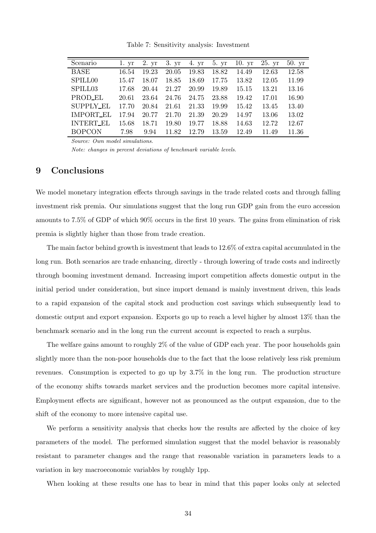| Scenario            | 1. yr | 2. yr | 3. yr | 4. yr | 5. yr | 10.yr | 25. yr | 50.yr |
|---------------------|-------|-------|-------|-------|-------|-------|--------|-------|
| BASE                | 16.54 | 19.23 | 20.05 | 19.83 | 18.82 | 14.49 | 12.63  | 12.58 |
| SPILL <sub>00</sub> | 15.47 | 18.07 | 18.85 | 18.69 | 17.75 | 13.82 | 12.05  | 11.99 |
| SPILL <sub>03</sub> | 17.68 | 20.44 | 21.27 | 20.99 | 19.89 | 15.15 | 13.21  | 13.16 |
| PROD_EL             | 20.61 | 23.64 | 24.76 | 24.75 | 23.88 | 19.42 | 17.01  | 16.90 |
| <b>SUPPLY_EL</b>    | 17.70 | 20.84 | 21.61 | 21.33 | 19.99 | 15.42 | 13.45  | 13.40 |
| IMPORT_EL           | 17.94 | 20.77 | 21.70 | 21.39 | 20.29 | 14.97 | 13.06  | 13.02 |
| <b>INTERT_EL</b>    | 15.68 | 18.71 | 19.80 | 19.77 | 18.88 | 14.63 | 12.72  | 12.67 |
| <b>BOPCON</b>       | 7.98  | 9.94  | 11.82 | 12.79 | 13.59 | 12.49 | 11.49  | 11.36 |
|                     |       |       |       |       |       |       |        |       |

Table 7: Sensitivity analysis: Investment

*Note: changes in percent deviations of benchmark variable levels.*

# 9 Conclusions

We model monetary integration effects through savings in the trade related costs and through falling investment risk premia. Our simulations suggest that the long run GDP gain from the euro accession amounts to 7.5% of GDP of which 90% occurs in the first 10 years. The gains from elimination of risk premia is slightly higher than those from trade creation.

The main factor behind growth is investment that leads to 12.6% of extra capital accumulated in the long run. Both scenarios are trade enhancing, directly - through lowering of trade costs and indirectly through booming investment demand. Increasing import competition affects domestic output in the initial period under consideration, but since import demand is mainly investment driven, this leads to a rapid expansion of the capital stock and production cost savings which subsequently lead to domestic output and export expansion. Exports go up to reach a level higher by almost 13% than the benchmark scenario and in the long run the current account is expected to reach a surplus.

The welfare gains amount to roughly 2% of the value of GDP each year. The poor households gain slightly more than the non-poor households due to the fact that the loose relatively less risk premium revenues. Consumption is expected to go up by 3.7% in the long run. The production structure of the economy shifts towards market services and the production becomes more capital intensive. Employment effects are significant, however not as pronounced as the output expansion, due to the shift of the economy to more intensive capital use.

We perform a sensitivity analysis that checks how the results are affected by the choice of key parameters of the model. The performed simulation suggest that the model behavior is reasonably resistant to parameter changes and the range that reasonable variation in parameters leads to a variation in key macroeconomic variables by roughly 1pp.

When looking at these results one has to bear in mind that this paper looks only at selected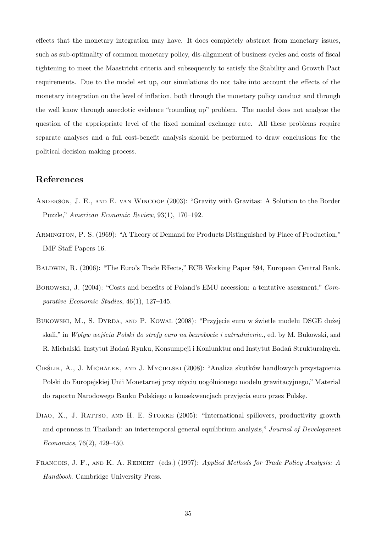effects that the monetary integration may have. It does completely abstract from monetary issues, such as sub-optimality of common monetary policy, dis-alignment of business cycles and costs of fiscal tightening to meet the Maastricht criteria and subsequently to satisfy the Stability and Growth Pact requirements. Due to the model set up, our simulations do not take into account the effects of the monetary integration on the level of inflation, both through the monetary policy conduct and through the well know through anecdotic evidence "rounding up" problem. The model does not analyze the question of the appriopriate level of the fixed nominal exchange rate. All these problems require separate analyses and a full cost-benefit analysis should be performed to draw conclusions for the political decision making process.

# References

- Anderson, J. E., and E. van Wincoop (2003): "Gravity with Gravitas: A Solution to the Border Puzzle," *American Economic Review*, 93(1), 170–192.
- Armington, P. S. (1969): "A Theory of Demand for Products Distinguished by Place of Production," IMF Staff Papers 16.
- Baldwin, R. (2006): "The Euro's Trade Effects," ECB Working Paper 594, European Central Bank.
- Borowski, J. (2004): "Costs and benefits of Poland's EMU accession: a tentative asessment," *Comparative Economic Studies*, 46(1), 127–145.
- Bukowski, M., S. Dyrda, and P. Kowal (2008): "Przyjęcie euro w świetle modelu DSGE dużej skali," in *Wplyw wejścia Polski do strefy euro na bezrobocie i zatrudnienie*., ed. by M. Bukowski, and R. Michalski. Instytut Badań Rynku, Konsumpcji i Koniunktur and Instytut Badań Strukturalnych.
- CIEŚLIK, A., J. MICHAŁEK, AND J. MYCIELSKI (2008): "Analiza skutków handlowych przystąpienia Polski do Europejskiej Unii Monetarnej przy użyciu uogólnionego modelu grawitacyjnego," Material do raportu Narodowego Banku Polskiego o konsekwencjach przyjęcia euro przez Polskę.
- DIAO, X., J. RATTSO, AND H. E. STOKKE (2005): "International spillovers, productivity growth and openness in Thailand: an intertemporal general equilibrium analysis," *Journal of Development Economics*, 76(2), 429–450.
- Francois, J. F., and K. A. Reinert (eds.) (1997): *Applied Methods for Trade Policy Analysis: A Handbook*. Cambridge University Press.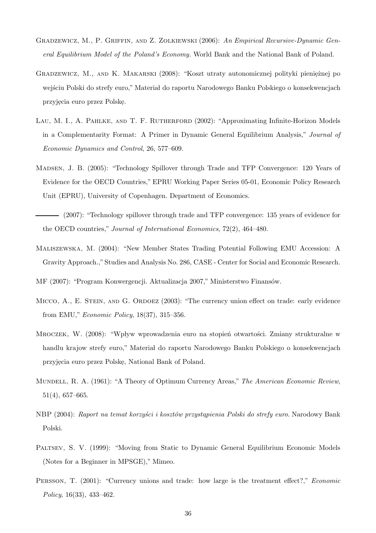- Gradzewicz, M., P. Griffin, and Z. Zolkiewski (2006): *An Empirical Recursive-Dynamic General Equilibrium Model of the Poland's Economy.* World Bank and the National Bank of Poland.
- GRADZEWICZ, M., AND K. MAKARSKI (2008): "Koszt utraty autonomicznej polityki pieniężnej po wejściu Polski do strefy euro." Materiał do raportu Narodowego Banku Polskiego o konsekwencjach przyjęcia euro przez Polskę.
- LAU, M. I., A. PAHLKE, AND T. F. RUTHERFORD (2002): "Approximating Infinite-Horizon Models in a Complementarity Format: A Primer in Dynamic General Equilibrium Analysis," *Journal of Economic Dynamics and Control*, 26, 577–609.
- Madsen, J. B. (2005): "Technology Spillover through Trade and TFP Convergence: 120 Years of Evidence for the OECD Countries," EPRU Working Paper Series 05-01, Economic Policy Research Unit (EPRU), University of Copenhagen. Department of Economics.
- (2007): "Technology spillover through trade and TFP convergence: 135 years of evidence for the OECD countries," *Journal of International Economics*, 72(2), 464–480.
- Maliszewska, M. (2004): "New Member States Trading Potential Following EMU Accession: A Gravity Approach.,"Studies and Analysis No. 286, CASE - Center for Social and Economic Research.

MF (2007): "Program Konwergencji. Aktualizacja 2007," Ministerstwo Finansów.

- MICCO, A., E. STEIN, AND G. ORDOEZ (2003): "The currency union effect on trade: early evidence from EMU," *Economic Policy*, 18(37), 315–356.
- MROCZEK, W. (2008): "Wpływ wprowadzenia euro na stopień otwartości. Zmiany strukturalne w handlu krajow strefy euro," Materiał do raportu Narodowego Banku Polskiego o konsekwencjach przyj֒ ecia euro przez Polsk֒ e, National Bank of Poland.
- Mundell, R. A. (1961): "A Theory of Optimum Currency Areas," *The American Economic Review*, 51(4), 657–665.
- NBP (2004): *Raport na temat korzyści i kosztów przystąpienia Polski do strefy euro*. Narodowy Bank Polski.
- Paltsev, S. V. (1999): "Moving from Static to Dynamic General Equilibrium Economic Models (Notes for a Beginner in MPSGE)," Mimeo.
- Persson, T. (2001): "Currency unions and trade: how large is the treatment effect?," *Economic Policy*, 16(33), 433–462.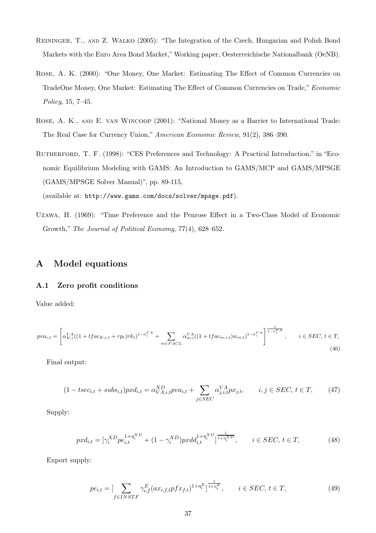- Reininger, T., and Z. Walko (2005): "The Integration of the Czech, Hungarian and Polish Bond Markets with the Euro Area Bond Market,"Working paper, Oesterreichische Nationalbank (OeNB).
- ROSE, A. K. (2000): "One Money, One Market: Estimating The Effect of Common Currencies on TradeOne Money, One Market: Estimating The Effect of Common Currencies on Trade," *Economic Policy*, 15, 7–45.
- Rose, A. K., and E. van Wincoop (2001): "National Money as a Barrier to International Trade: The Real Case for Currency Union," *American Economic Review*, 91(2), 386–390.
- RUTHERFORD, T. F. (1998): "CES Preferences and Technology: A Practical Introduction," in "Economic Equilibrium Modeling with GAMS: An Introduction to GAMS/MCP and GAMS/MPSGE (GAMS/MPSGE Solver Manual)", pp. 89-115,

(available at: http://www.gams.com/docs/solver/mpsge.pdf).

Uzawa, H. (1969): "Time Preference and the Penrose Effect in a Two-Class Model of Economic Growth," *The Journal of Political Economy*, 77(4), 628–652.

# A Model equations

#### A.1 Zero profit conditions

Value added:

$$
pva_{i,t} = \left[\alpha_{K,i}^{VA}((1 + tfac_{K,i,t} + rp_t)rk_t)^{1 - \sigma_i^{VA}} + \sum_{m \in FAC} \alpha_{m,i}^{VA}((1 + tfac_{m,i,t})w_{m,t})^{1 - \sigma_i^{VA}}\right]^{\frac{1}{1 - \sigma_i^{VA}}}, \qquad i \in SEC, t \in T,
$$
\n(46)

Final output:

$$
(1 - tsec_{i,t} + subs_{i,t})pxd_{i,t} = \alpha_{VA,i,t}^{XD}pva_{i,t} + \sum_{j \in SEC} \alpha_{j,i,t}^{VA}px_{j,t}, \qquad i, j \in SEC, t \in T,
$$
 (47)

Supply:

$$
pxd_{i,t} = [\gamma_i^{XD}pe_{i,t}^{1+\eta_i^{XD}} + (1-\gamma_i^{XD})pxdd_{i,t}^{1+\eta_i^{XD}}]^{\frac{1}{1+\eta_i^{XD}}}, \qquad i \in SEC, t \in T,
$$
\n(48)

Export supply:

$$
pe_{i,t} = \left[\sum_{f \in INSTF} \gamma_{i,f}^{E} (ax_{i,f,t} p f x_{f,t})^{1 + \eta_i^{E}}\right]^{\frac{1}{1 + \eta_i^{E}}}, \qquad i \in SEC, t \in T,
$$
\n(49)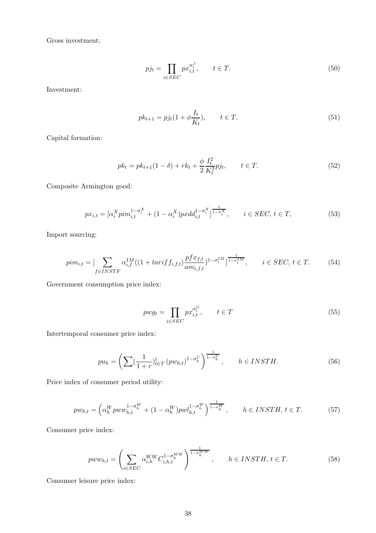Gross investment:

$$
p j_t = \prod_{i \in SEC} p x_{i,t}^{\alpha_i^J}, \qquad t \in T.
$$
\n
$$
(50)
$$

Investment:

$$
pk_{t+1} = pj_t(1 + \phi \frac{I_t}{K_t}), \qquad t \in T.
$$
\n(51)

Capital formation:

$$
pk_t = pk_{t+1}(1 - \delta) + rk_t + \frac{\phi}{2} \frac{I_t^2}{K_t^2} p j_t, \qquad t \in T.
$$
\n(52)

Composite Armington good:

$$
px_{i,t} = [\alpha_i^X \text{pim}_{i,t}^{1-\sigma_i^X} + (1-\alpha_i^X) \text{pxd}_{i,t}^{1-\sigma_i^X}]^{\frac{1}{1-\sigma_i^X}}, \qquad i \in SEC, \ t \in T,
$$
\n
$$
(53)
$$

Import sourcing:

$$
p i m_{i,t} = \left[ \sum_{f \in INSTF} \alpha_{i,f}^{IM} ((1 + t a r i f f_{i,f,t}) \frac{p f x_{f,t}}{a m_{i,f,t}})^{1 - \sigma_i^I M} \right]^{1 - \frac{1}{1 - \sigma_i^I M}}, \qquad i \in SEC, t \in T.
$$
 (54)

Government consumption price index:

$$
p w g_t = \prod_{i \in SEC} p x_{i,t}^{\alpha_i^G}, \qquad t \in T
$$
\n
$$
(55)
$$

Intertemporal consumer price index:

$$
pu_h = \left(\sum_{k=1}^{\infty} \left(\frac{1}{1+r}\right)^t_{t \in T} \left(pw_{h,t}\right)^{1-\sigma_h^U}\right)^{\frac{1}{1-\sigma_h^U}}, \qquad h \in INSTH. \tag{56}
$$

Price index of consumer period utility:

$$
pw_{h,t} = \left(\alpha_h^Wpww_{h,t}^{1-\sigma_h^W} + (1-\alpha_h^W)pwl_{h,t}^{1-\sigma_h^W}\right)^{\frac{1}{1-\sigma_h^W}}, \qquad h \in INSTH, t \in T.
$$
 (57)

Consumer price index:

$$
pww_{h,t} = \left(\sum_{i \in SEC} \alpha_{i,h}^{WW} C_{i,h,t}^{1-\sigma_h^{WW}}\right)^{\frac{1}{1-\sigma_h^{WW}}}, \qquad h \in INSTH, t \in T.
$$
 (58)

Consumer leisure price index: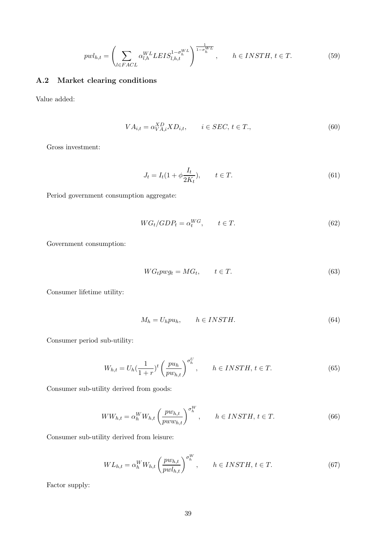$$
pwl_{h,t} = \left(\sum_{l \in FACL} \alpha_{l,h}^{WL} L EIS_{l,h,t}^{1-\sigma_{h}^{WL}}\right)^{\frac{1}{1-\sigma_{h}^{WL}}}, \qquad h \in INSTH, \, t \in T. \tag{59}
$$

# A.2 Market clearing conditions

Value added:

$$
VA_{i,t} = \alpha_{VA,i}^{XD} X D_{i,t}, \qquad i \in SEC, t \in T., \tag{60}
$$

Gross investment:

$$
J_t = I_t(1 + \phi \frac{I_t}{2K_t}), \qquad t \in T.
$$
\n
$$
(61)
$$

Period government consumption aggregate:

$$
WG_t/GDP_t = \alpha_t^{WG}, \qquad t \in T. \tag{62}
$$

Government consumption:

$$
WG_t p w g_t = M G_t, \qquad t \in T. \tag{63}
$$

Consumer lifetime utility:

$$
M_h = U_h p u_h, \qquad h \in INSTH. \tag{64}
$$

Consumer period sub-utility:

$$
W_{h,t} = U_h \left(\frac{1}{1+r}\right)^t \left(\frac{pu_h}{pw_{h,t}}\right)^{\sigma_h^U}, \qquad h \in INSTH, \, t \in T. \tag{65}
$$

Consumer sub-utility derived from goods:

$$
WW_{h,t} = \alpha_h^W W_{h,t} \left(\frac{pw_{h,t}}{pw w_{h,t}}\right)^{\sigma_h^W}, \qquad h \in INSTH, t \in T.
$$
\n
$$
(66)
$$

Consumer sub-utility derived from leisure:

$$
WL_{h,t} = \alpha_h^W W_{h,t} \left(\frac{pw_{h,t}}{pw_{h,t}}\right)^{\sigma_h^W}, \qquad h \in INSTH, t \in T.
$$
\n
$$
(67)
$$

Factor supply: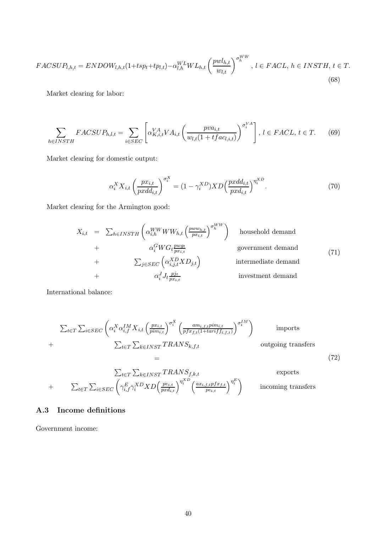$$
FACSUP_{l,h,t} = ENDOW_{l,h,t}(1+ tsp_t+tp_{l,t}) - \alpha_{l,h}^{WL}WL_{h,t} \left(\frac{pwl_{h,t}}{w_{l,t}}\right)^{\sigma_h^{WW}}, l \in FACL, h \in INSTH, t \in T.
$$
\n
$$
(68)
$$

Market clearing for labor:

$$
\sum_{h \in INSTH} FACSUP_{h,l,t} = \sum_{i \in SEC} \left[ \alpha_{K,i,t}^{VA} VA_{i,t} \left( \frac{pva_{i,t}}{w_{l,t}(1 + tfac_{l,i,t})} \right)^{\sigma_i^{VA}} \right], \ l \in FACL, \ t \in T. \tag{69}
$$

Market clearing for domestic output:

$$
\alpha_i^X X_{i,t} \left(\frac{px_{i,t}}{pxdd_{i,t}}\right)^{\sigma_i^X} = (1 - \gamma_i^{XD}) X D \left(\frac{pxdd_{i,t}}{pxd_{i,t}}\right)^{\eta_i^{XD}}.
$$
\n
$$
(70)
$$

Market clearing for the Armington good:

$$
X_{i,t} = \sum_{h \in INSTH} \left( \alpha_{i,h}^{WW} W W_{h,t} \left( \frac{pw w_{h,t}}{px_{i,t}} \right)^{\sigma_h^{WW}} \right) \text{ household demand}
$$
  
+  $\alpha_i^G W G_t \frac{pv g_t}{px_{i,t}}$  government demand  
+  $\sum_{j \in SEC} \left( \alpha_{i,j,t}^{XD} X D_{j,t} \right)$  intermediate demand  
+  $\alpha_i^J J_t \frac{p j_t}{px_{i,t}}$  investment demand

International balance:

$$
\sum_{t \in T} \sum_{i \in SEC} \left( \alpha_i^X \alpha_{i,f}^{IM} X_{i,t} \left( \frac{p x_{i,t}}{p i m_{i,t}} \right)^{\sigma_i^X} \left( \frac{a m_{i,f,t} p i m_{i,t}}{p f x_{f,t} (1 + \tan^i f f_{i,f,t})} \right)^{\sigma_i^I M} \right) \qquad \text{imports}
$$
\n
$$
+ \sum_{t \in T} \sum_{k \in INST} TRANS_{k,f,t} \qquad \text{outgoing transfers}
$$
\n
$$
= \qquad (72)
$$

$$
\sum_{t \in T} \sum_{k \in INST} TRANS_{f,k,t} \qquad \text{exports}
$$
\n
$$
+ \sum_{t \in T} \sum_{i \in SEC} \left( \gamma_{i,f}^{E} \gamma_{i}^{XD} XD \left( \frac{pe_{i,t}}{pxd_{i,t}} \right)^{\eta_{i}^{XD}} \left( \frac{ax_{i,f,t}pfx_{f,t}}{pe_{i,t}} \right)^{\eta_{i}^{E}} \right) \qquad \text{incoming transfers}
$$

## A.3 Income definitions

Government income: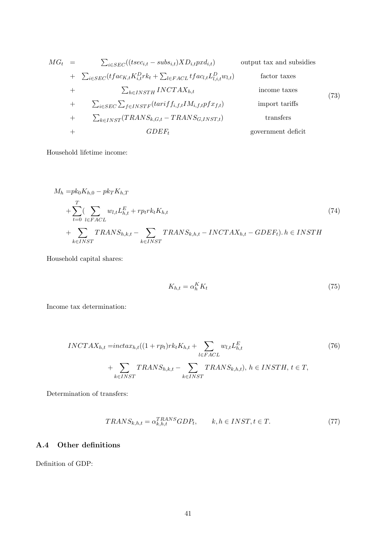$$
MG_{t} = \sum_{i \in SEC}((tsec_{i,t} - subs_{i,t})XD_{i,t}pxd_{i,t})
$$
 output tax and subsidies  
+ 
$$
\sum_{i \in SEC} (tfac_{K,t}K_{i,t}^{D}rk_{t} + \sum_{l \in FACL} tfac_{l,t}L_{l,i,t}^{D}w_{l,t})
$$
 factor taxes  
+ 
$$
\sum_{h \in INSTH} INCTAX_{h,t}
$$
 income taxes  
+ 
$$
\sum_{i \in SEC} \sum_{f \in INSTF} (tarif f_{i,f,t}IM_{i,f,t}pfx_{f,t})
$$
 import tariffs  
+ 
$$
\sum_{k \in INST} (TRANS_{k,G,t} - TRANS_{G,INST,t})
$$
 transfers  
+ 
$$
GDEF_{t}
$$
 government deficit

Household lifetime income:

$$
M_h = pk_0K_{h,0} - pk_TK_{h,T}
$$
  
+ 
$$
\sum_{t=0}^{T} \sum_{l \in FAC} w_{l,t}L_{h,t}^E + rprk_tK_{h,t}
$$
  
+ 
$$
\sum_{k \in INST} TRANS_{h,k,t} - \sum_{k \in INST} TRANS_{k,h,t} - INCTAX_{h,t} - GDEF_t). h \in INSTH
$$
 (74)

Household capital shares:

$$
K_{h,t} = \alpha_h^K K_t \tag{75}
$$

Income tax determination:

$$
INCTAX_{h,t} = inctax_{h,t}((1+rp_t)rk_tK_{h,t} + \sum_{l \in FAC} w_{l,t}L_{h,t}^E + \sum_{k \in INST} TRANS_{h,k,t} - \sum_{k \in INST} TRANS_{k,h,t}), h \in INSTH, t \in T,
$$
\n(76)

Determination of transfers:

$$
TRANS_{k,h,t} = \alpha_{k,h,t}^{TRANS} GDP_t, \qquad k, h \in INST, t \in T.
$$
\n
$$
(77)
$$

# A.4 Other definitions

Definition of GDP: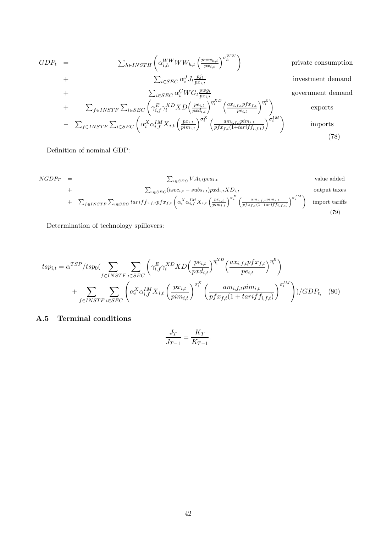$$
GDP_{t} = \sum_{h \in INSTH} \left( \alpha_{i,h}^{WW} WW_{h,t} \left( \frac{pww_{h,t}}{px_{i,t}} \right)^{\sigma_{h}^{WW}} \right) \qquad \text{private consumption}
$$
\n
$$
+ \sum_{i \in SEC} \alpha_{i}^{J} J_{t} \frac{p j_{t}}{px_{i,t}} \qquad \text{investment demand}
$$
\n
$$
+ \sum_{f \in INSTF} \sum_{i \in SEC} \left( \gamma_{i,f}^{E} \gamma_{i}^{XD} X D \left( \frac{pe_{i,t}}{px_{i,t}} \right)^{\eta_{i}^{XD}} \left( \frac{ax_{i,f,t}p f x_{f,t}}{pe_{i,t}} \right)^{\eta_{i}^{E}} \right) \qquad \text{exports}
$$
\n
$$
- \sum_{f \in INSTF} \sum_{i \in SEC} \left( \alpha_{i}^{X} \alpha_{i,f}^{IM} X_{i,t} \left( \frac{px_{i,t}}{pim_{i,t}} \right)^{\sigma_{i}^{X}} \left( \frac{am_{i,f,t}p im_{i,t}}{p f x_{f,t} (1 + tarif_{i,f,t})} \right)^{\sigma_{i}^{IM}} \right) \qquad \text{imports}
$$
\n(78)

Definition of nominal GDP:

$$
NGDP_T = \sum_{i \in SEC} VA_{i,t} pva_{i,t}
$$
 value added  
+
$$
\sum_{i \in SEC} (tsec_{i,t} - subs_{i,t}) pxd_{i,t} XD_{i,t}
$$
 output taxes  
+
$$
\sum_{f \in INSTF} \sum_{i \in SEC} tarif f_{i,f,t} pfx_{f,t} \left(\alpha_i^X \alpha_{i,f}^{IM} X_{i,t} \left(\frac{p x_{i,t}}{p i m_{i,t}}\right)^{\sigma_i^X} \left(\frac{am_{i,f,t} p i m_{i,t}}{p fx_{f,t} (1+tarif f_{i,f,t})}\right)^{\sigma_i^I M}\right)
$$
 import tariffs (79)

Determination of technology spillovers:

$$
tsp_{i,t} = \alpha^{TSP}/tsp_0 \left( \sum_{f \in INSTF} \sum_{i \in SEC} \left( \gamma_{i,f}^E \gamma_i^{XD} X D \left( \frac{pe_{i,t}}{pxd_{i,t}} \right)^{\eta_i^{XD}} \left( \frac{ax_{i,f,t}pfx_{f,t}}{pe_{i,t}} \right)^{\eta_i^{E}} \right) + \sum_{f \in INSTF} \sum_{i \in SEC} \left( \alpha_i^X \alpha_{i,f}^{IM} X_{i,t} \left( \frac{px_{i,t}}{pim_{i,t}} \right)^{\sigma_i^X} \left( \frac{am_{i,f,t}pim_{i,t}}{pfx_{f,t}(1 + tariff_{i,f,t})} \right)^{\sigma_i^{IM}} \right) \right) / GDP_{t}, \quad (80)
$$

# A.5 Terminal conditions

$$
\frac{J_T}{J_{T-1}} = \frac{K_T}{K_{T-1}}.
$$